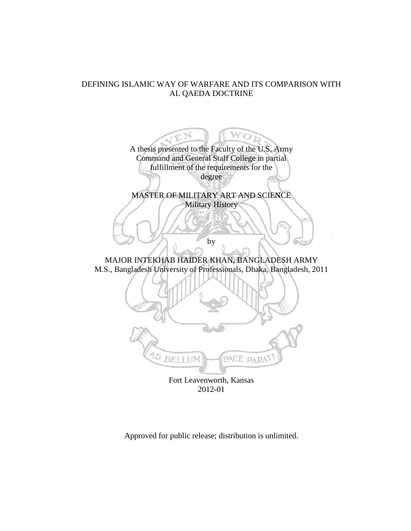## DEFINING ISLAMIC WAY OF WARFARE AND ITS COMPARISON WITH AL QAEDA DOCTRINE



Approved for public release; distribution is unlimited.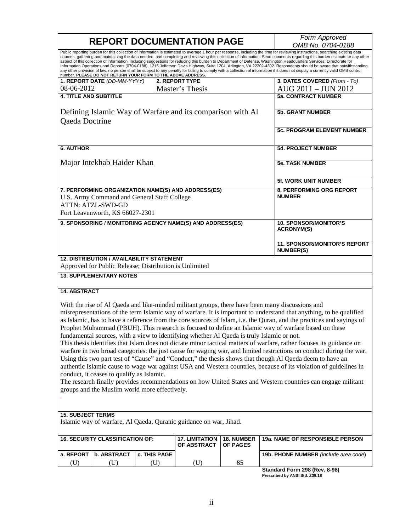|                                                                                                                                                                                                                                                                                                                                                                                                                                                                                                                                                                                                                                                                                                                                                                                                                                                                                                                                                                   |                                                                                                                               |                                           | <b>REPORT DOCUMENTATION PAGE</b>                                                          |                   | Form Approved                                                                                                        |  |  |
|-------------------------------------------------------------------------------------------------------------------------------------------------------------------------------------------------------------------------------------------------------------------------------------------------------------------------------------------------------------------------------------------------------------------------------------------------------------------------------------------------------------------------------------------------------------------------------------------------------------------------------------------------------------------------------------------------------------------------------------------------------------------------------------------------------------------------------------------------------------------------------------------------------------------------------------------------------------------|-------------------------------------------------------------------------------------------------------------------------------|-------------------------------------------|-------------------------------------------------------------------------------------------|-------------------|----------------------------------------------------------------------------------------------------------------------|--|--|
|                                                                                                                                                                                                                                                                                                                                                                                                                                                                                                                                                                                                                                                                                                                                                                                                                                                                                                                                                                   |                                                                                                                               |                                           |                                                                                           |                   | OMB No. 0704-0188                                                                                                    |  |  |
| Public reporting burden for this collection of information is estimated to average 1 hour per response, including the time for reviewing instructions, searching existing data<br>sources, gathering and maintaining the data needed, and completing and reviewing this collection of information. Send comments regarding this burden estimate or any other<br>aspect of this collection of information, including suggestions for reducing this burden to Department of Defense, Washington Headquarters Services, Directorate for<br>Information Operations and Reports (0704-0188), 1215 Jefferson Davis Highway, Suite 1204, Arlington, VA 22202-4302. Respondents should be aware that notwithstanding<br>any other provision of law, no person shall be subject to any penalty for failing to comply with a collection of information if it does not display a currently valid OMB control<br>number. PLEASE DO NOT RETURN YOUR FORM TO THE ABOVE ADDRESS. |                                                                                                                               |                                           |                                                                                           |                   |                                                                                                                      |  |  |
|                                                                                                                                                                                                                                                                                                                                                                                                                                                                                                                                                                                                                                                                                                                                                                                                                                                                                                                                                                   | 1. REPORT DATE (DD-MM-YYYY)                                                                                                   |                                           | 2. REPORT TYPE                                                                            |                   | 3. DATES COVERED (From - To)                                                                                         |  |  |
| 08-06-2012                                                                                                                                                                                                                                                                                                                                                                                                                                                                                                                                                                                                                                                                                                                                                                                                                                                                                                                                                        |                                                                                                                               |                                           | Master's Thesis                                                                           |                   | AUG 2011 - JUN 2012                                                                                                  |  |  |
| <b>4. TITLE AND SUBTITLE</b>                                                                                                                                                                                                                                                                                                                                                                                                                                                                                                                                                                                                                                                                                                                                                                                                                                                                                                                                      |                                                                                                                               |                                           |                                                                                           |                   | <b>5a. CONTRACT NUMBER</b>                                                                                           |  |  |
|                                                                                                                                                                                                                                                                                                                                                                                                                                                                                                                                                                                                                                                                                                                                                                                                                                                                                                                                                                   |                                                                                                                               |                                           |                                                                                           |                   |                                                                                                                      |  |  |
| Defining Islamic Way of Warfare and its comparison with Al<br>Qaeda Doctrine                                                                                                                                                                                                                                                                                                                                                                                                                                                                                                                                                                                                                                                                                                                                                                                                                                                                                      |                                                                                                                               |                                           |                                                                                           |                   | 5b. GRANT NUMBER                                                                                                     |  |  |
|                                                                                                                                                                                                                                                                                                                                                                                                                                                                                                                                                                                                                                                                                                                                                                                                                                                                                                                                                                   |                                                                                                                               |                                           |                                                                                           |                   | <b>5c. PROGRAM ELEMENT NUMBER</b>                                                                                    |  |  |
| <b>6. AUTHOR</b>                                                                                                                                                                                                                                                                                                                                                                                                                                                                                                                                                                                                                                                                                                                                                                                                                                                                                                                                                  |                                                                                                                               |                                           |                                                                                           |                   | 5d. PROJECT NUMBER                                                                                                   |  |  |
| Major Intekhab Haider Khan                                                                                                                                                                                                                                                                                                                                                                                                                                                                                                                                                                                                                                                                                                                                                                                                                                                                                                                                        |                                                                                                                               |                                           |                                                                                           |                   | <b>5e. TASK NUMBER</b>                                                                                               |  |  |
|                                                                                                                                                                                                                                                                                                                                                                                                                                                                                                                                                                                                                                                                                                                                                                                                                                                                                                                                                                   |                                                                                                                               |                                           |                                                                                           |                   | <b>5f. WORK UNIT NUMBER</b>                                                                                          |  |  |
|                                                                                                                                                                                                                                                                                                                                                                                                                                                                                                                                                                                                                                                                                                                                                                                                                                                                                                                                                                   | 7. PERFORMING ORGANIZATION NAME(S) AND ADDRESS(ES)<br>U.S. Army Command and General Staff College<br><b>ATTN: ATZL-SWD-GD</b> | 8. PERFORMING ORG REPORT<br><b>NUMBER</b> |                                                                                           |                   |                                                                                                                      |  |  |
|                                                                                                                                                                                                                                                                                                                                                                                                                                                                                                                                                                                                                                                                                                                                                                                                                                                                                                                                                                   | Fort Leavenworth, KS 66027-2301                                                                                               |                                           |                                                                                           |                   |                                                                                                                      |  |  |
| 9. SPONSORING / MONITORING AGENCY NAME(S) AND ADDRESS(ES)                                                                                                                                                                                                                                                                                                                                                                                                                                                                                                                                                                                                                                                                                                                                                                                                                                                                                                         |                                                                                                                               |                                           |                                                                                           |                   | <b>10. SPONSOR/MONITOR'S</b><br><b>ACRONYM(S)</b>                                                                    |  |  |
|                                                                                                                                                                                                                                                                                                                                                                                                                                                                                                                                                                                                                                                                                                                                                                                                                                                                                                                                                                   |                                                                                                                               |                                           |                                                                                           |                   | 11. SPONSOR/MONITOR'S REPORT<br><b>NUMBER(S)</b>                                                                     |  |  |
| <b>12. DISTRIBUTION / AVAILABILITY STATEMENT</b><br>Approved for Public Release; Distribution is Unlimited                                                                                                                                                                                                                                                                                                                                                                                                                                                                                                                                                                                                                                                                                                                                                                                                                                                        |                                                                                                                               |                                           |                                                                                           |                   |                                                                                                                      |  |  |
| <b>13. SUPPLEMENTARY NOTES</b>                                                                                                                                                                                                                                                                                                                                                                                                                                                                                                                                                                                                                                                                                                                                                                                                                                                                                                                                    |                                                                                                                               |                                           |                                                                                           |                   |                                                                                                                      |  |  |
| <b>14. ABSTRACT</b>                                                                                                                                                                                                                                                                                                                                                                                                                                                                                                                                                                                                                                                                                                                                                                                                                                                                                                                                               |                                                                                                                               |                                           |                                                                                           |                   |                                                                                                                      |  |  |
|                                                                                                                                                                                                                                                                                                                                                                                                                                                                                                                                                                                                                                                                                                                                                                                                                                                                                                                                                                   |                                                                                                                               |                                           |                                                                                           |                   | With the rise of Al Qaeda and like-minded militant groups, there have been many discussions and                      |  |  |
|                                                                                                                                                                                                                                                                                                                                                                                                                                                                                                                                                                                                                                                                                                                                                                                                                                                                                                                                                                   |                                                                                                                               |                                           |                                                                                           |                   |                                                                                                                      |  |  |
| misrepresentations of the term Islamic way of warfare. It is important to understand that anything, to be qualified<br>as Islamic, has to have a reference from the core sources of Islam, i.e. the Quran, and the practices and sayings of                                                                                                                                                                                                                                                                                                                                                                                                                                                                                                                                                                                                                                                                                                                       |                                                                                                                               |                                           |                                                                                           |                   |                                                                                                                      |  |  |
|                                                                                                                                                                                                                                                                                                                                                                                                                                                                                                                                                                                                                                                                                                                                                                                                                                                                                                                                                                   |                                                                                                                               |                                           |                                                                                           |                   |                                                                                                                      |  |  |
|                                                                                                                                                                                                                                                                                                                                                                                                                                                                                                                                                                                                                                                                                                                                                                                                                                                                                                                                                                   |                                                                                                                               |                                           |                                                                                           |                   | Prophet Muhammad (PBUH). This research is focused to define an Islamic way of warfare based on these                 |  |  |
|                                                                                                                                                                                                                                                                                                                                                                                                                                                                                                                                                                                                                                                                                                                                                                                                                                                                                                                                                                   |                                                                                                                               |                                           | fundamental sources, with a view to identifying whether Al Qaeda is truly Islamic or not. |                   |                                                                                                                      |  |  |
|                                                                                                                                                                                                                                                                                                                                                                                                                                                                                                                                                                                                                                                                                                                                                                                                                                                                                                                                                                   |                                                                                                                               |                                           |                                                                                           |                   | This thesis identifies that Islam does not dictate minor tactical matters of warfare, rather focuses its guidance on |  |  |
|                                                                                                                                                                                                                                                                                                                                                                                                                                                                                                                                                                                                                                                                                                                                                                                                                                                                                                                                                                   |                                                                                                                               |                                           |                                                                                           |                   | warfare in two broad categories: the just cause for waging war, and limited restrictions on conduct during the war.  |  |  |
|                                                                                                                                                                                                                                                                                                                                                                                                                                                                                                                                                                                                                                                                                                                                                                                                                                                                                                                                                                   |                                                                                                                               |                                           |                                                                                           |                   | Using this two part test of "Cause" and "Conduct," the thesis shows that though Al Qaeda deem to have an             |  |  |
|                                                                                                                                                                                                                                                                                                                                                                                                                                                                                                                                                                                                                                                                                                                                                                                                                                                                                                                                                                   |                                                                                                                               |                                           |                                                                                           |                   | authentic Islamic cause to wage war against USA and Western countries, because of its violation of guidelines in     |  |  |
|                                                                                                                                                                                                                                                                                                                                                                                                                                                                                                                                                                                                                                                                                                                                                                                                                                                                                                                                                                   |                                                                                                                               |                                           |                                                                                           |                   |                                                                                                                      |  |  |
| conduct, it ceases to qualify as Islamic.<br>The research finally provides recommendations on how United States and Western countries can engage militant                                                                                                                                                                                                                                                                                                                                                                                                                                                                                                                                                                                                                                                                                                                                                                                                         |                                                                                                                               |                                           |                                                                                           |                   |                                                                                                                      |  |  |
| groups and the Muslim world more effectively.                                                                                                                                                                                                                                                                                                                                                                                                                                                                                                                                                                                                                                                                                                                                                                                                                                                                                                                     |                                                                                                                               |                                           |                                                                                           |                   |                                                                                                                      |  |  |
|                                                                                                                                                                                                                                                                                                                                                                                                                                                                                                                                                                                                                                                                                                                                                                                                                                                                                                                                                                   |                                                                                                                               |                                           |                                                                                           |                   |                                                                                                                      |  |  |
|                                                                                                                                                                                                                                                                                                                                                                                                                                                                                                                                                                                                                                                                                                                                                                                                                                                                                                                                                                   |                                                                                                                               |                                           |                                                                                           |                   |                                                                                                                      |  |  |
| <b>15. SUBJECT TERMS</b>                                                                                                                                                                                                                                                                                                                                                                                                                                                                                                                                                                                                                                                                                                                                                                                                                                                                                                                                          |                                                                                                                               |                                           |                                                                                           |                   |                                                                                                                      |  |  |
| Islamic way of warfare, Al Qaeda, Quranic guidance on war, Jihad.                                                                                                                                                                                                                                                                                                                                                                                                                                                                                                                                                                                                                                                                                                                                                                                                                                                                                                 |                                                                                                                               |                                           |                                                                                           |                   |                                                                                                                      |  |  |
|                                                                                                                                                                                                                                                                                                                                                                                                                                                                                                                                                                                                                                                                                                                                                                                                                                                                                                                                                                   | <b>16. SECURITY CLASSIFICATION OF:</b>                                                                                        |                                           | <b>17. LIMITATION</b>                                                                     | <b>18. NUMBER</b> | 19a. NAME OF RESPONSIBLE PERSON                                                                                      |  |  |
|                                                                                                                                                                                                                                                                                                                                                                                                                                                                                                                                                                                                                                                                                                                                                                                                                                                                                                                                                                   |                                                                                                                               |                                           | OF ABSTRACT                                                                               | OF PAGES          |                                                                                                                      |  |  |
| a. REPORT                                                                                                                                                                                                                                                                                                                                                                                                                                                                                                                                                                                                                                                                                                                                                                                                                                                                                                                                                         | <b>b. ABSTRACT</b>                                                                                                            | c. THIS PAGE                              |                                                                                           |                   | 19b. PHONE NUMBER (include area code)                                                                                |  |  |
| (U)                                                                                                                                                                                                                                                                                                                                                                                                                                                                                                                                                                                                                                                                                                                                                                                                                                                                                                                                                               | (U)                                                                                                                           | (U)                                       | (U)                                                                                       | 85                |                                                                                                                      |  |  |
|                                                                                                                                                                                                                                                                                                                                                                                                                                                                                                                                                                                                                                                                                                                                                                                                                                                                                                                                                                   |                                                                                                                               |                                           |                                                                                           |                   | Standard Form 298 (Rev. 8-98)                                                                                        |  |  |

**Standard Form 298 (Rev. 8-98) Prescribed by ANSI Std. Z39.18**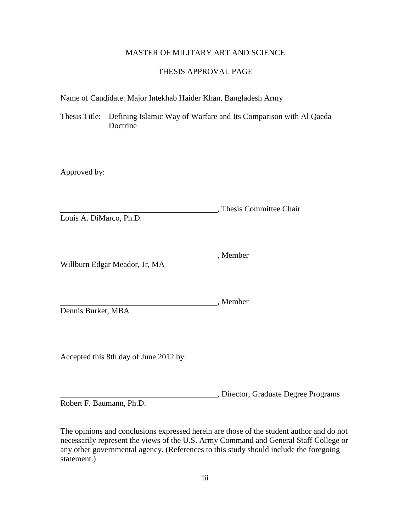### MASTER OF MILITARY ART AND SCIENCE

### THESIS APPROVAL PAGE

Name of Candidate: Major Intekhab Haider Khan, Bangladesh Army

Thesis Title: Defining Islamic Way of Warfare and Its Comparison with Al Qaeda Doctrine

Approved by:

, Thesis Committee Chair Louis A. DiMarco, Ph.D.

Member Willburn Edgar Meador, Jr, MA

, Member Dennis Burket, MBA

Accepted this 8th day of June 2012 by:

, Director, Graduate Degree Programs

Robert F. Baumann, Ph.D.

The opinions and conclusions expressed herein are those of the student author and do not necessarily represent the views of the U.S. Army Command and General Staff College or any other governmental agency. (References to this study should include the foregoing statement.)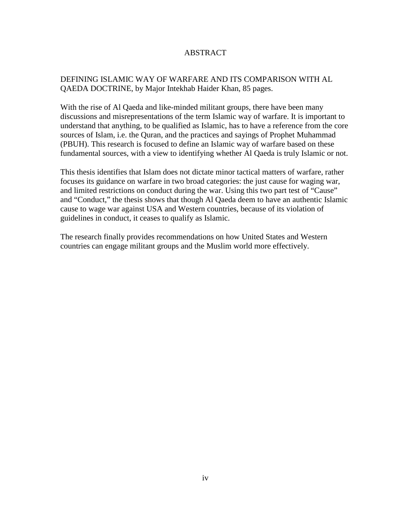## ABSTRACT

## DEFINING ISLAMIC WAY OF WARFARE AND ITS COMPARISON WITH AL QAEDA DOCTRINE, by Major Intekhab Haider Khan, 85 pages.

With the rise of Al Qaeda and like-minded militant groups, there have been many discussions and misrepresentations of the term Islamic way of warfare. It is important to understand that anything, to be qualified as Islamic, has to have a reference from the core sources of Islam, i.e. the Quran, and the practices and sayings of Prophet Muhammad (PBUH). This research is focused to define an Islamic way of warfare based on these fundamental sources, with a view to identifying whether Al Qaeda is truly Islamic or not.

This thesis identifies that Islam does not dictate minor tactical matters of warfare, rather focuses its guidance on warfare in two broad categories: the just cause for waging war, and limited restrictions on conduct during the war. Using this two part test of "Cause" and "Conduct," the thesis shows that though Al Qaeda deem to have an authentic Islamic cause to wage war against USA and Western countries, because of its violation of guidelines in conduct, it ceases to qualify as Islamic.

The research finally provides recommendations on how United States and Western countries can engage militant groups and the Muslim world more effectively.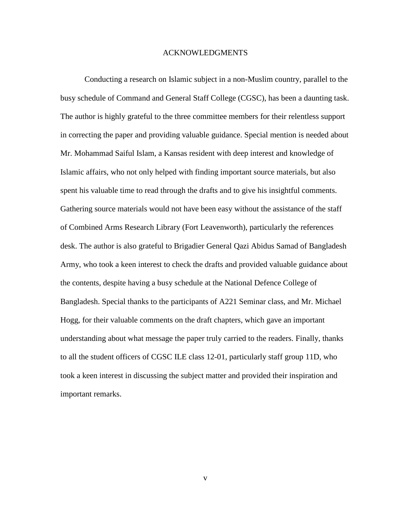#### ACKNOWLEDGMENTS

Conducting a research on Islamic subject in a non-Muslim country, parallel to the busy schedule of Command and General Staff College (CGSC), has been a daunting task. The author is highly grateful to the three committee members for their relentless support in correcting the paper and providing valuable guidance. Special mention is needed about Mr. Mohammad Saiful Islam, a Kansas resident with deep interest and knowledge of Islamic affairs, who not only helped with finding important source materials, but also spent his valuable time to read through the drafts and to give his insightful comments. Gathering source materials would not have been easy without the assistance of the staff of Combined Arms Research Library (Fort Leavenworth), particularly the references desk. The author is also grateful to Brigadier General Qazi Abidus Samad of Bangladesh Army, who took a keen interest to check the drafts and provided valuable guidance about the contents, despite having a busy schedule at the National Defence College of Bangladesh. Special thanks to the participants of A221 Seminar class, and Mr. Michael Hogg, for their valuable comments on the draft chapters, which gave an important understanding about what message the paper truly carried to the readers. Finally, thanks to all the student officers of CGSC ILE class 12-01, particularly staff group 11D, who took a keen interest in discussing the subject matter and provided their inspiration and important remarks.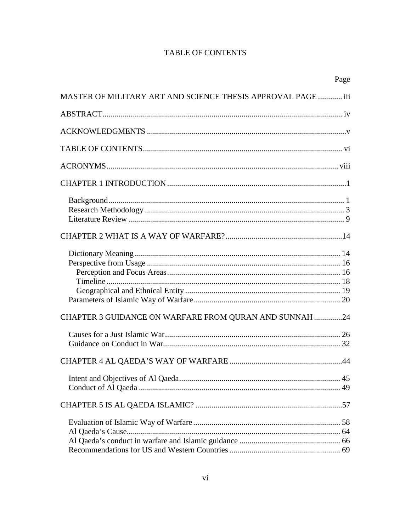## **TABLE OF CONTENTS**

|                                                              | Page |
|--------------------------------------------------------------|------|
| MASTER OF MILITARY ART AND SCIENCE THESIS APPROVAL PAGE  iii |      |
|                                                              |      |
|                                                              |      |
|                                                              |      |
|                                                              |      |
|                                                              |      |
|                                                              |      |
|                                                              |      |
|                                                              |      |
|                                                              |      |
| CHAPTER 3 GUIDANCE ON WARFARE FROM QURAN AND SUNNAH 24       |      |
|                                                              |      |
|                                                              |      |
|                                                              |      |
|                                                              |      |
|                                                              |      |
|                                                              |      |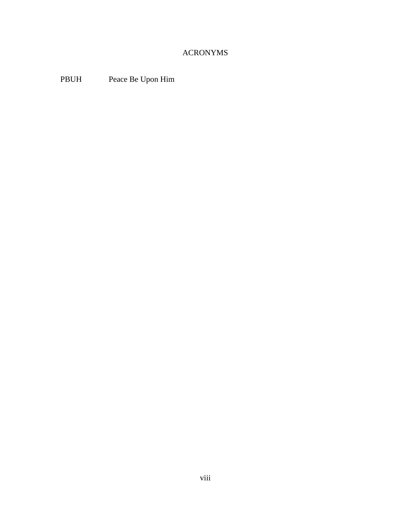# ACRONYMS

PBUH Peace Be Upon Him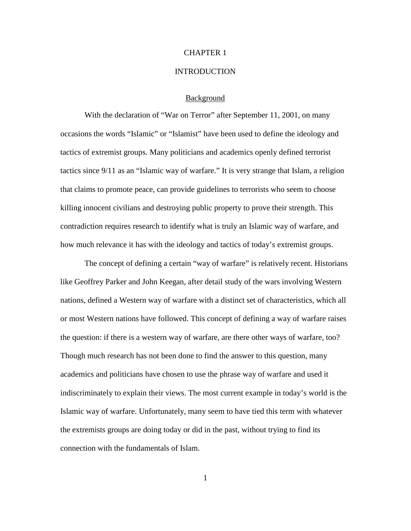#### CHAPTER 1

#### **INTRODUCTION**

#### Background

With the declaration of "War on Terror" after September 11, 2001, on many occasions the words "Islamic" or "Islamist" have been used to define the ideology and tactics of extremist groups. Many politicians and academics openly defined terrorist tactics since 9/11 as an "Islamic way of warfare." It is very strange that Islam, a religion that claims to promote peace, can provide guidelines to terrorists who seem to choose killing innocent civilians and destroying public property to prove their strength. This contradiction requires research to identify what is truly an Islamic way of warfare, and how much relevance it has with the ideology and tactics of today's extremist groups.

The concept of defining a certain "way of warfare" is relatively recent. Historians like Geoffrey Parker and John Keegan, after detail study of the wars involving Western nations, defined a Western way of warfare with a distinct set of characteristics, which all or most Western nations have followed. This concept of defining a way of warfare raises the question: if there is a western way of warfare, are there other ways of warfare, too? Though much research has not been done to find the answer to this question, many academics and politicians have chosen to use the phrase way of warfare and used it indiscriminately to explain their views. The most current example in today's world is the Islamic way of warfare. Unfortunately, many seem to have tied this term with whatever the extremists groups are doing today or did in the past, without trying to find its connection with the fundamentals of Islam.

1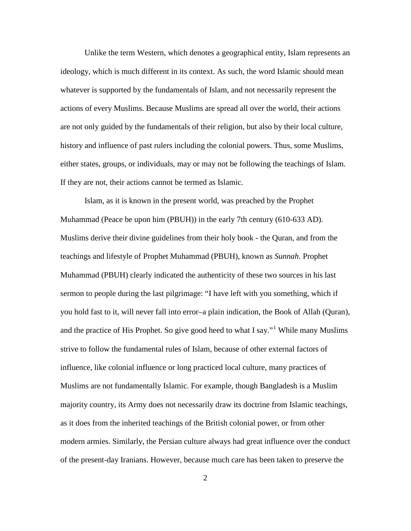Unlike the term Western, which denotes a geographical entity, Islam represents an ideology, which is much different in its context. As such, the word Islamic should mean whatever is supported by the fundamentals of Islam, and not necessarily represent the actions of every Muslims. Because Muslims are spread all over the world, their actions are not only guided by the fundamentals of their religion, but also by their local culture, history and influence of past rulers including the colonial powers. Thus, some Muslims, either states, groups, or individuals, may or may not be following the teachings of Islam. If they are not, their actions cannot be termed as Islamic.

Islam, as it is known in the present world, was preached by the Prophet Muhammad (Peace be upon him (PBUH)) in the early 7th century (610-633 AD). Muslims derive their divine guidelines from their holy book - the Quran, and from the teachings and lifestyle of Prophet Muhammad (PBUH), known as *Sunnah*. Prophet Muhammad (PBUH) clearly indicated the authenticity of these two sources in his last sermon to people during the last pilgrimage: "I have left with you something, which if you hold fast to it, will never fall into error–a plain indication, the Book of Allah (Quran), and the practice of His Prophet. So give good heed to what I say."[1](#page-20-0) While many Muslims strive to follow the fundamental rules of Islam, because of other external factors of influence, like colonial influence or long practiced local culture, many practices of Muslims are not fundamentally Islamic. For example, though Bangladesh is a Muslim majority country, its Army does not necessarily draw its doctrine from Islamic teachings, as it does from the inherited teachings of the British colonial power, or from other modern armies. Similarly, the Persian culture always had great influence over the conduct of the present-day Iranians. However, because much care has been taken to preserve the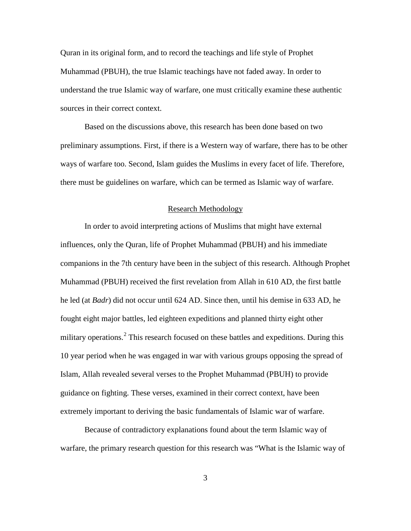Quran in its original form, and to record the teachings and life style of Prophet Muhammad (PBUH), the true Islamic teachings have not faded away. In order to understand the true Islamic way of warfare, one must critically examine these authentic sources in their correct context.

Based on the discussions above, this research has been done based on two preliminary assumptions. First, if there is a Western way of warfare, there has to be other ways of warfare too. Second, Islam guides the Muslims in every facet of life. Therefore, there must be guidelines on warfare, which can be termed as Islamic way of warfare.

#### Research Methodology

In order to avoid interpreting actions of Muslims that might have external influences, only the Quran, life of Prophet Muhammad (PBUH) and his immediate companions in the 7th century have been in the subject of this research. Although Prophet Muhammad (PBUH) received the first revelation from Allah in 610 AD, the first battle he led (at *Badr*) did not occur until 624 AD. Since then, until his demise in 633 AD, he fought eight major battles, led eighteen expeditions and planned thirty eight other military operations.<sup>[2](#page-20-1)</sup> This research focused on these battles and expeditions. During this 10 year period when he was engaged in war with various groups opposing the spread of Islam, Allah revealed several verses to the Prophet Muhammad (PBUH) to provide guidance on fighting. These verses, examined in their correct context, have been extremely important to deriving the basic fundamentals of Islamic war of warfare.

Because of contradictory explanations found about the term Islamic way of warfare, the primary research question for this research was "What is the Islamic way of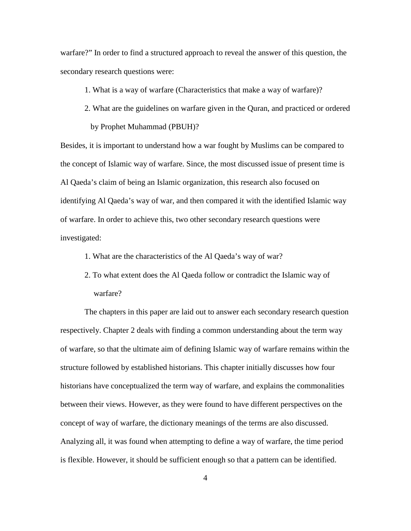warfare?" In order to find a structured approach to reveal the answer of this question, the secondary research questions were:

1. What is a way of warfare (Characteristics that make a way of warfare)?

2. What are the guidelines on warfare given in the Quran, and practiced or ordered by Prophet Muhammad (PBUH)?

Besides, it is important to understand how a war fought by Muslims can be compared to the concept of Islamic way of warfare. Since, the most discussed issue of present time is Al Qaeda's claim of being an Islamic organization, this research also focused on identifying Al Qaeda's way of war, and then compared it with the identified Islamic way of warfare. In order to achieve this, two other secondary research questions were investigated:

- 1. What are the characteristics of the Al Qaeda's way of war?
- 2. To what extent does the Al Qaeda follow or contradict the Islamic way of warfare?

The chapters in this paper are laid out to answer each secondary research question respectively. Chapter 2 deals with finding a common understanding about the term way of warfare, so that the ultimate aim of defining Islamic way of warfare remains within the structure followed by established historians. This chapter initially discusses how four historians have conceptualized the term way of warfare, and explains the commonalities between their views. However, as they were found to have different perspectives on the concept of way of warfare, the dictionary meanings of the terms are also discussed. Analyzing all, it was found when attempting to define a way of warfare, the time period is flexible. However, it should be sufficient enough so that a pattern can be identified.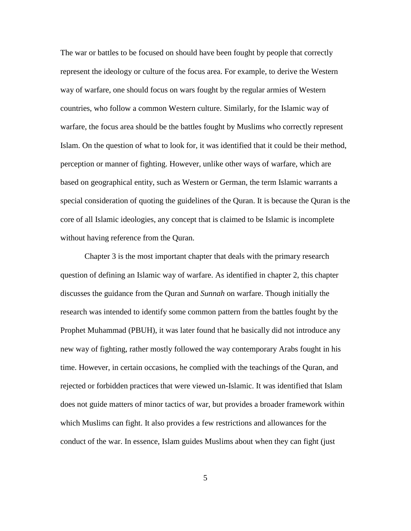The war or battles to be focused on should have been fought by people that correctly represent the ideology or culture of the focus area. For example, to derive the Western way of warfare, one should focus on wars fought by the regular armies of Western countries, who follow a common Western culture. Similarly, for the Islamic way of warfare, the focus area should be the battles fought by Muslims who correctly represent Islam. On the question of what to look for, it was identified that it could be their method, perception or manner of fighting. However, unlike other ways of warfare, which are based on geographical entity, such as Western or German, the term Islamic warrants a special consideration of quoting the guidelines of the Quran. It is because the Quran is the core of all Islamic ideologies, any concept that is claimed to be Islamic is incomplete without having reference from the Quran.

Chapter 3 is the most important chapter that deals with the primary research question of defining an Islamic way of warfare. As identified in chapter 2, this chapter discusses the guidance from the Quran and *Sunnah* on warfare. Though initially the research was intended to identify some common pattern from the battles fought by the Prophet Muhammad (PBUH), it was later found that he basically did not introduce any new way of fighting, rather mostly followed the way contemporary Arabs fought in his time. However, in certain occasions, he complied with the teachings of the Quran, and rejected or forbidden practices that were viewed un-Islamic. It was identified that Islam does not guide matters of minor tactics of war, but provides a broader framework within which Muslims can fight. It also provides a few restrictions and allowances for the conduct of the war. In essence, Islam guides Muslims about when they can fight (just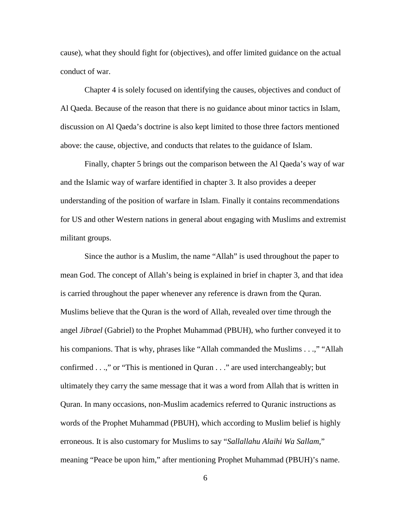cause), what they should fight for (objectives), and offer limited guidance on the actual conduct of war.

Chapter 4 is solely focused on identifying the causes, objectives and conduct of Al Qaeda. Because of the reason that there is no guidance about minor tactics in Islam, discussion on Al Qaeda's doctrine is also kept limited to those three factors mentioned above: the cause, objective, and conducts that relates to the guidance of Islam.

Finally, chapter 5 brings out the comparison between the Al Qaeda's way of war and the Islamic way of warfare identified in chapter 3. It also provides a deeper understanding of the position of warfare in Islam. Finally it contains recommendations for US and other Western nations in general about engaging with Muslims and extremist militant groups.

Since the author is a Muslim, the name "Allah" is used throughout the paper to mean God. The concept of Allah's being is explained in brief in chapter 3, and that idea is carried throughout the paper whenever any reference is drawn from the Quran. Muslims believe that the Quran is the word of Allah, revealed over time through the angel *Jibrael* (Gabriel) to the Prophet Muhammad (PBUH), who further conveyed it to his companions. That is why, phrases like "Allah commanded the Muslims . . .," "Allah confirmed . . .," or "This is mentioned in Quran . . ." are used interchangeably; but ultimately they carry the same message that it was a word from Allah that is written in Quran. In many occasions, non-Muslim academics referred to Quranic instructions as words of the Prophet Muhammad (PBUH), which according to Muslim belief is highly erroneous. It is also customary for Muslims to say "*Sallallahu Alaihi Wa Sallam,*" meaning "Peace be upon him," after mentioning Prophet Muhammad (PBUH)'s name.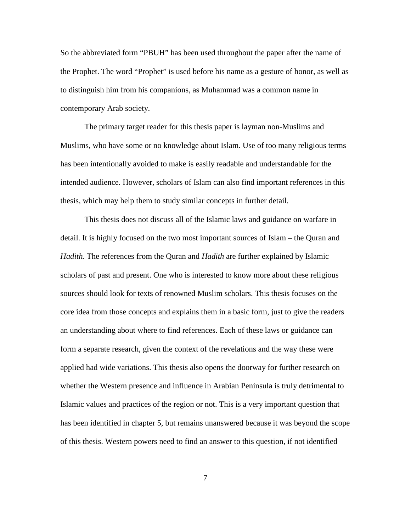So the abbreviated form "PBUH" has been used throughout the paper after the name of the Prophet. The word "Prophet" is used before his name as a gesture of honor, as well as to distinguish him from his companions, as Muhammad was a common name in contemporary Arab society.

The primary target reader for this thesis paper is layman non-Muslims and Muslims, who have some or no knowledge about Islam. Use of too many religious terms has been intentionally avoided to make is easily readable and understandable for the intended audience. However, scholars of Islam can also find important references in this thesis, which may help them to study similar concepts in further detail.

This thesis does not discuss all of the Islamic laws and guidance on warfare in detail. It is highly focused on the two most important sources of Islam – the Quran and *Hadith*. The references from the Quran and *Hadith* are further explained by Islamic scholars of past and present. One who is interested to know more about these religious sources should look for texts of renowned Muslim scholars. This thesis focuses on the core idea from those concepts and explains them in a basic form, just to give the readers an understanding about where to find references. Each of these laws or guidance can form a separate research, given the context of the revelations and the way these were applied had wide variations. This thesis also opens the doorway for further research on whether the Western presence and influence in Arabian Peninsula is truly detrimental to Islamic values and practices of the region or not. This is a very important question that has been identified in chapter 5, but remains unanswered because it was beyond the scope of this thesis. Western powers need to find an answer to this question, if not identified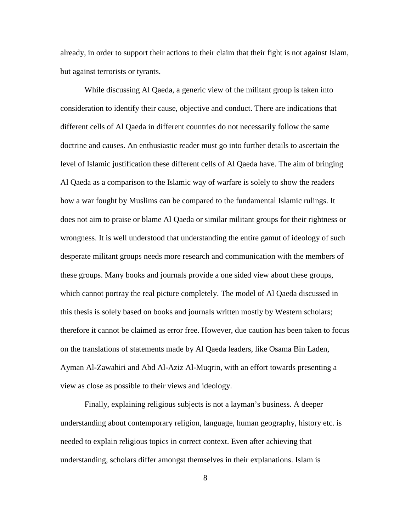already, in order to support their actions to their claim that their fight is not against Islam, but against terrorists or tyrants.

While discussing Al Qaeda, a generic view of the militant group is taken into consideration to identify their cause, objective and conduct. There are indications that different cells of Al Qaeda in different countries do not necessarily follow the same doctrine and causes. An enthusiastic reader must go into further details to ascertain the level of Islamic justification these different cells of Al Qaeda have. The aim of bringing Al Qaeda as a comparison to the Islamic way of warfare is solely to show the readers how a war fought by Muslims can be compared to the fundamental Islamic rulings. It does not aim to praise or blame Al Qaeda or similar militant groups for their rightness or wrongness. It is well understood that understanding the entire gamut of ideology of such desperate militant groups needs more research and communication with the members of these groups. Many books and journals provide a one sided view about these groups, which cannot portray the real picture completely. The model of Al Qaeda discussed in this thesis is solely based on books and journals written mostly by Western scholars; therefore it cannot be claimed as error free. However, due caution has been taken to focus on the translations of statements made by Al Qaeda leaders, like Osama Bin Laden, Ayman Al-Zawahiri and Abd Al-Aziz Al-Muqrin, with an effort towards presenting a view as close as possible to their views and ideology.

Finally, explaining religious subjects is not a layman's business. A deeper understanding about contemporary religion, language, human geography, history etc. is needed to explain religious topics in correct context. Even after achieving that understanding, scholars differ amongst themselves in their explanations. Islam is

8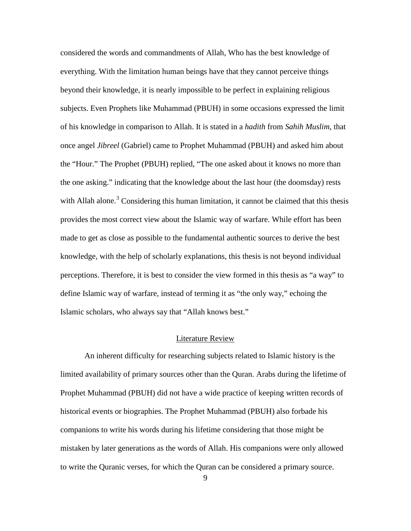considered the words and commandments of Allah, Who has the best knowledge of everything. With the limitation human beings have that they cannot perceive things beyond their knowledge, it is nearly impossible to be perfect in explaining religious subjects. Even Prophets like Muhammad (PBUH) in some occasions expressed the limit of his knowledge in comparison to Allah. It is stated in a *hadith* from *Sahih Muslim*, that once angel *Jibreel* (Gabriel) came to Prophet Muhammad (PBUH) and asked him about the "Hour." The Prophet (PBUH) replied, "The one asked about it knows no more than the one asking." indicating that the knowledge about the last hour (the doomsday) rests with Allah alone.<sup>[3](#page-20-2)</sup> Considering this human limitation, it cannot be claimed that this thesis provides the most correct view about the Islamic way of warfare. While effort has been made to get as close as possible to the fundamental authentic sources to derive the best knowledge, with the help of scholarly explanations, this thesis is not beyond individual perceptions. Therefore, it is best to consider the view formed in this thesis as "a way" to define Islamic way of warfare, instead of terming it as "the only way," echoing the Islamic scholars, who always say that "Allah knows best."

#### Literature Review

An inherent difficulty for researching subjects related to Islamic history is the limited availability of primary sources other than the Quran. Arabs during the lifetime of Prophet Muhammad (PBUH) did not have a wide practice of keeping written records of historical events or biographies. The Prophet Muhammad (PBUH) also forbade his companions to write his words during his lifetime considering that those might be mistaken by later generations as the words of Allah. His companions were only allowed to write the Quranic verses, for which the Quran can be considered a primary source.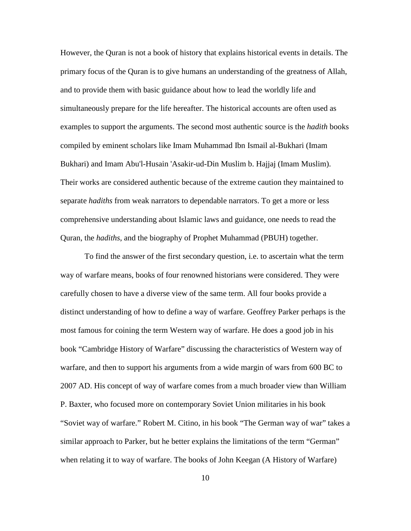However, the Quran is not a book of history that explains historical events in details. The primary focus of the Quran is to give humans an understanding of the greatness of Allah, and to provide them with basic guidance about how to lead the worldly life and simultaneously prepare for the life hereafter. The historical accounts are often used as examples to support the arguments. The second most authentic source is the *hadith* books compiled by eminent scholars like Imam Muhammad Ibn Ismail al-Bukhari (Imam Bukhari) and Imam Abu'l-Husain 'Asakir-ud-Din Muslim b. Hajjaj (Imam Muslim). Their works are considered authentic because of the extreme caution they maintained to separate *hadiths* from weak narrators to dependable narrators. To get a more or less comprehensive understanding about Islamic laws and guidance, one needs to read the Quran, the *hadiths*, and the biography of Prophet Muhammad (PBUH) together.

To find the answer of the first secondary question, i.e. to ascertain what the term way of warfare means, books of four renowned historians were considered. They were carefully chosen to have a diverse view of the same term. All four books provide a distinct understanding of how to define a way of warfare. Geoffrey Parker perhaps is the most famous for coining the term Western way of warfare. He does a good job in his book "Cambridge History of Warfare" discussing the characteristics of Western way of warfare, and then to support his arguments from a wide margin of wars from 600 BC to 2007 AD. His concept of way of warfare comes from a much broader view than William P. Baxter, who focused more on contemporary Soviet Union militaries in his book "Soviet way of warfare." Robert M. Citino, in his book "The German way of war" takes a similar approach to Parker, but he better explains the limitations of the term "German" when relating it to way of warfare. The books of John Keegan (A History of Warfare)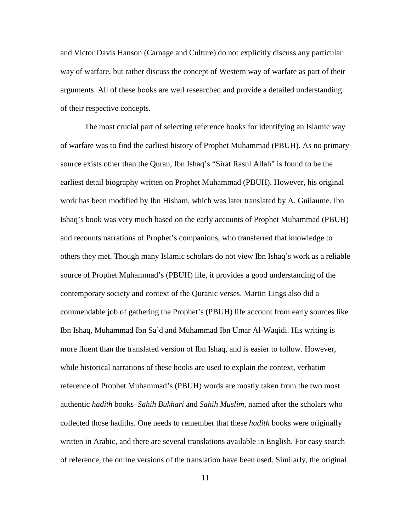and Victor Davis Hanson (Carnage and Culture) do not explicitly discuss any particular way of warfare, but rather discuss the concept of Western way of warfare as part of their arguments. All of these books are well researched and provide a detailed understanding of their respective concepts.

The most crucial part of selecting reference books for identifying an Islamic way of warfare was to find the earliest history of Prophet Muhammad (PBUH). As no primary source exists other than the Quran, Ibn Ishaq's "Sirat Rasul Allah" is found to be the earliest detail biography written on Prophet Muhammad (PBUH). However, his original work has been modified by Ibn Hisham, which was later translated by A. Guilaume. Ibn Ishaq's book was very much based on the early accounts of Prophet Muhammad (PBUH) and recounts narrations of Prophet's companions, who transferred that knowledge to others they met. Though many Islamic scholars do not view Ibn Ishaq's work as a reliable source of Prophet Muhammad's (PBUH) life, it provides a good understanding of the contemporary society and context of the Quranic verses. Martin Lings also did a commendable job of gathering the Prophet's (PBUH) life account from early sources like Ibn Ishaq, Muhammad Ibn Sa'd and Muhammad Ibn Umar Al-Waqidi. His writing is more fluent than the translated version of Ibn Ishaq, and is easier to follow. However, while historical narrations of these books are used to explain the context, verbatim reference of Prophet Muhammad's (PBUH) words are mostly taken from the two most authentic *hadith* books–*Sahih Bukhari* and *Sahih Muslim*, named after the scholars who collected those hadiths. One needs to remember that these *hadith* books were originally written in Arabic, and there are several translations available in English. For easy search of reference, the online versions of the translation have been used. Similarly, the original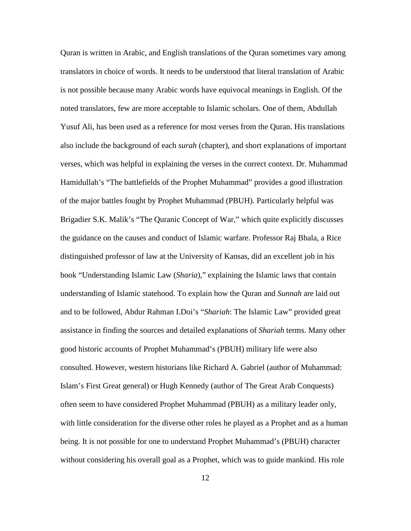Quran is written in Arabic, and English translations of the Quran sometimes vary among translators in choice of words. It needs to be understood that literal translation of Arabic is not possible because many Arabic words have equivocal meanings in English. Of the noted translators, few are more acceptable to Islamic scholars. One of them, Abdullah Yusuf Ali, has been used as a reference for most verses from the Quran. His translations also include the background of each *surah* (chapter), and short explanations of important verses, which was helpful in explaining the verses in the correct context. Dr. Muhammad Hamidullah's "The battlefields of the Prophet Muhammad" provides a good illustration of the major battles fought by Prophet Muhammad (PBUH). Particularly helpful was Brigadier S.K. Malik's "The Quranic Concept of War," which quite explicitly discusses the guidance on the causes and conduct of Islamic warfare. Professor Raj Bhala, a Rice distinguished professor of law at the University of Kansas, did an excellent job in his book "Understanding Islamic Law (*Sharia*)," explaining the Islamic laws that contain understanding of Islamic statehood. To explain how the Quran and *Sunnah* are laid out and to be followed, Abdur Rahman I.Doi's "*Shariah*: The Islamic Law" provided great assistance in finding the sources and detailed explanations of *Shariah* terms. Many other good historic accounts of Prophet Muhammad's (PBUH) military life were also consulted. However, western historians like Richard A. Gabriel (author of Muhammad: Islam's First Great general) or Hugh Kennedy (author of The Great Arab Conquests) often seem to have considered Prophet Muhammad (PBUH) as a military leader only, with little consideration for the diverse other roles he played as a Prophet and as a human being. It is not possible for one to understand Prophet Muhammad's (PBUH) character without considering his overall goal as a Prophet, which was to guide mankind. His role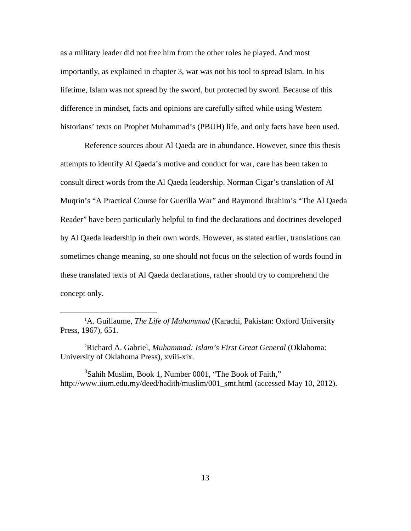as a military leader did not free him from the other roles he played. And most importantly, as explained in chapter 3, war was not his tool to spread Islam. In his lifetime, Islam was not spread by the sword, but protected by sword. Because of this difference in mindset, facts and opinions are carefully sifted while using Western historians' texts on Prophet Muhammad's (PBUH) life, and only facts have been used.

Reference sources about Al Qaeda are in abundance. However, since this thesis attempts to identify Al Qaeda's motive and conduct for war, care has been taken to consult direct words from the Al Qaeda leadership. Norman Cigar's translation of Al Muqrin's "A Practical Course for Guerilla War" and Raymond Ibrahim's "The Al Qaeda Reader" have been particularly helpful to find the declarations and doctrines developed by Al Qaeda leadership in their own words. However, as stated earlier, translations can sometimes change meaning, so one should not focus on the selection of words found in these translated texts of Al Qaeda declarations, rather should try to comprehend the concept only.

<span id="page-20-2"></span><sup>3</sup>Sahih Muslim, Book 1, Number 0001, "The Book of Faith," http://www.iium.edu.my/deed/hadith/muslim/001\_smt.html (accessed May 10, 2012).

<span id="page-20-0"></span><sup>&</sup>lt;u>1</u> <sup>1</sup>A. Guillaume, *The Life of Muhammad* (Karachi, Pakistan: Oxford University Press, 1967), 651.

<span id="page-20-1"></span><sup>2</sup> Richard A. Gabriel, *Muhammad: Islam's First Great General* (Oklahoma: University of Oklahoma Press), xviii-xix.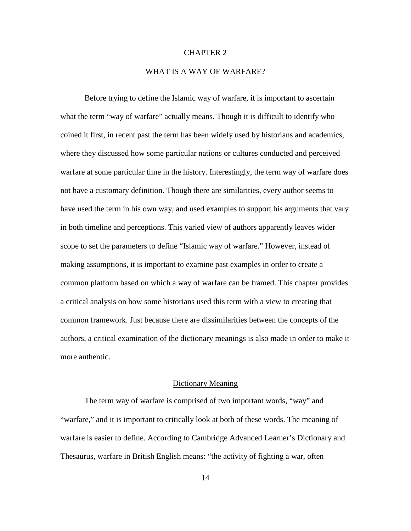#### CHAPTER 2

## WHAT IS A WAY OF WARFARE?

Before trying to define the Islamic way of warfare, it is important to ascertain what the term "way of warfare" actually means. Though it is difficult to identify who coined it first, in recent past the term has been widely used by historians and academics, where they discussed how some particular nations or cultures conducted and perceived warfare at some particular time in the history. Interestingly, the term way of warfare does not have a customary definition. Though there are similarities, every author seems to have used the term in his own way, and used examples to support his arguments that vary in both timeline and perceptions. This varied view of authors apparently leaves wider scope to set the parameters to define "Islamic way of warfare." However, instead of making assumptions, it is important to examine past examples in order to create a common platform based on which a way of warfare can be framed. This chapter provides a critical analysis on how some historians used this term with a view to creating that common framework. Just because there are dissimilarities between the concepts of the authors, a critical examination of the dictionary meanings is also made in order to make it more authentic.

### Dictionary Meaning

The term way of warfare is comprised of two important words, "way" and "warfare," and it is important to critically look at both of these words. The meaning of warfare is easier to define. According to Cambridge Advanced Learner's Dictionary and Thesaurus, warfare in British English means: "the activity of fighting a war, often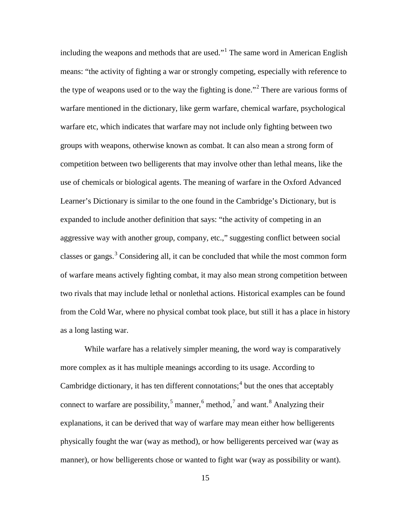including the weapons and methods that are used."[1](#page-29-0) The same word in American English means: "the activity of fighting a war or strongly competing, especially with reference to the type of weapons used or to the way the fighting is done."<sup>[2](#page-29-1)</sup> There are various forms of warfare mentioned in the dictionary, like germ warfare, chemical warfare, psychological warfare etc, which indicates that warfare may not include only fighting between two groups with weapons, otherwise known as combat. It can also mean a strong form of competition between two belligerents that may involve other than lethal means, like the use of chemicals or biological agents. The meaning of warfare in the Oxford Advanced Learner's Dictionary is similar to the one found in the Cambridge's Dictionary, but is expanded to include another definition that says: "the activity of competing in an aggressive way with another group, company, etc.," suggesting conflict between social classes or gangs.<sup>[3](#page-29-2)</sup> Considering all, it can be concluded that while the most common form of warfare means actively fighting combat, it may also mean strong competition between two rivals that may include lethal or nonlethal actions. Historical examples can be found from the Cold War, where no physical combat took place, but still it has a place in history as a long lasting war.

While warfare has a relatively simpler meaning, the word way is comparatively more complex as it has multiple meanings according to its usage. According to Cambridge dictionary, it has ten different connotations;  $4$  but the ones that acceptably connect to warfare are possibility,<sup>[5](#page-29-4)</sup> manner,<sup>[6](#page-29-5)</sup> method,<sup>[7](#page-29-6)</sup> and want.<sup>[8](#page-29-7)</sup> Analyzing their explanations, it can be derived that way of warfare may mean either how belligerents physically fought the war (way as method), or how belligerents perceived war (way as manner), or how belligerents chose or wanted to fight war (way as possibility or want).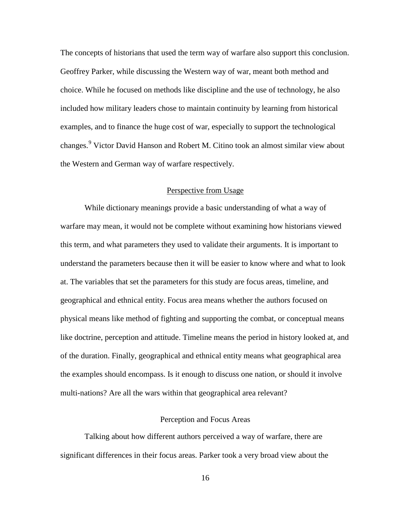The concepts of historians that used the term way of warfare also support this conclusion. Geoffrey Parker, while discussing the Western way of war, meant both method and choice. While he focused on methods like discipline and the use of technology, he also included how military leaders chose to maintain continuity by learning from historical examples, and to finance the huge cost of war, especially to support the technological changes.<sup>[9](#page-29-8)</sup> Victor David Hanson and Robert M. Citino took an almost similar view about the Western and German way of warfare respectively.

#### Perspective from Usage

While dictionary meanings provide a basic understanding of what a way of warfare may mean, it would not be complete without examining how historians viewed this term, and what parameters they used to validate their arguments. It is important to understand the parameters because then it will be easier to know where and what to look at. The variables that set the parameters for this study are focus areas, timeline, and geographical and ethnical entity. Focus area means whether the authors focused on physical means like method of fighting and supporting the combat, or conceptual means like doctrine, perception and attitude. Timeline means the period in history looked at, and of the duration. Finally, geographical and ethnical entity means what geographical area the examples should encompass. Is it enough to discuss one nation, or should it involve multi-nations? Are all the wars within that geographical area relevant?

#### Perception and Focus Areas

Talking about how different authors perceived a way of warfare, there are significant differences in their focus areas. Parker took a very broad view about the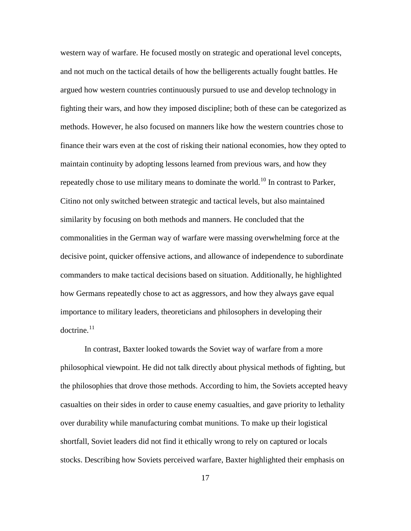western way of warfare. He focused mostly on strategic and operational level concepts, and not much on the tactical details of how the belligerents actually fought battles. He argued how western countries continuously pursued to use and develop technology in fighting their wars, and how they imposed discipline; both of these can be categorized as methods. However, he also focused on manners like how the western countries chose to finance their wars even at the cost of risking their national economies, how they opted to maintain continuity by adopting lessons learned from previous wars, and how they repeatedly chose to use military means to dominate the world.<sup>[10](#page-29-9)</sup> In contrast to Parker, Citino not only switched between strategic and tactical levels, but also maintained similarity by focusing on both methods and manners. He concluded that the commonalities in the German way of warfare were massing overwhelming force at the decisive point, quicker offensive actions, and allowance of independence to subordinate commanders to make tactical decisions based on situation. Additionally, he highlighted how Germans repeatedly chose to act as aggressors, and how they always gave equal importance to military leaders, theoreticians and philosophers in developing their doctrine. $^{11}$  $^{11}$  $^{11}$ 

In contrast, Baxter looked towards the Soviet way of warfare from a more philosophical viewpoint. He did not talk directly about physical methods of fighting, but the philosophies that drove those methods. According to him, the Soviets accepted heavy casualties on their sides in order to cause enemy casualties, and gave priority to lethality over durability while manufacturing combat munitions. To make up their logistical shortfall, Soviet leaders did not find it ethically wrong to rely on captured or locals stocks. Describing how Soviets perceived warfare, Baxter highlighted their emphasis on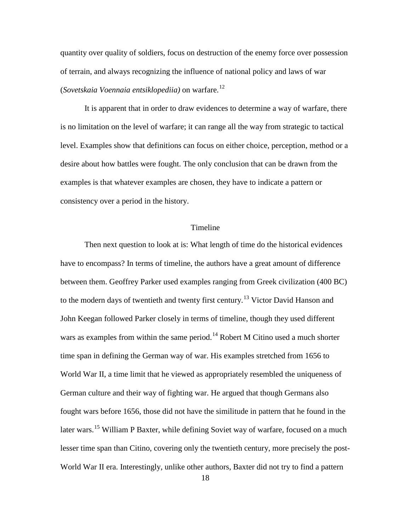quantity over quality of soldiers, focus on destruction of the enemy force over possession of terrain, and always recognizing the influence of national policy and laws of war (*Sovetskaia Voennaia entsiklopediia)* on warfare.[12](#page-29-11)

It is apparent that in order to draw evidences to determine a way of warfare, there is no limitation on the level of warfare; it can range all the way from strategic to tactical level. Examples show that definitions can focus on either choice, perception, method or a desire about how battles were fought. The only conclusion that can be drawn from the examples is that whatever examples are chosen, they have to indicate a pattern or consistency over a period in the history.

#### Timeline

Then next question to look at is: What length of time do the historical evidences have to encompass? In terms of timeline, the authors have a great amount of difference between them. Geoffrey Parker used examples ranging from Greek civilization (400 BC) to the modern days of twentieth and twenty first century.<sup>[13](#page-29-12)</sup> Victor David Hanson and John Keegan followed Parker closely in terms of timeline, though they used different wars as examples from within the same period.<sup>[14](#page-29-13)</sup> Robert M Citino used a much shorter time span in defining the German way of war. His examples stretched from 1656 to World War II, a time limit that he viewed as appropriately resembled the uniqueness of German culture and their way of fighting war. He argued that though Germans also fought wars before 1656, those did not have the similitude in pattern that he found in the later wars.<sup>[15](#page-29-14)</sup> William P Baxter, while defining Soviet way of warfare, focused on a much lesser time span than Citino, covering only the twentieth century, more precisely the post-World War II era. Interestingly, unlike other authors, Baxter did not try to find a pattern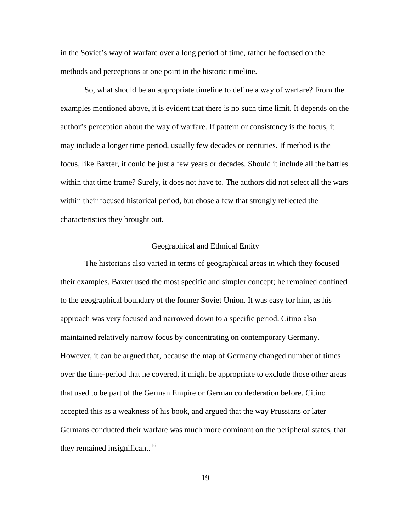in the Soviet's way of warfare over a long period of time, rather he focused on the methods and perceptions at one point in the historic timeline.

So, what should be an appropriate timeline to define a way of warfare? From the examples mentioned above, it is evident that there is no such time limit. It depends on the author's perception about the way of warfare. If pattern or consistency is the focus, it may include a longer time period, usually few decades or centuries. If method is the focus, like Baxter, it could be just a few years or decades. Should it include all the battles within that time frame? Surely, it does not have to. The authors did not select all the wars within their focused historical period, but chose a few that strongly reflected the characteristics they brought out.

#### Geographical and Ethnical Entity

The historians also varied in terms of geographical areas in which they focused their examples. Baxter used the most specific and simpler concept; he remained confined to the geographical boundary of the former Soviet Union. It was easy for him, as his approach was very focused and narrowed down to a specific period. Citino also maintained relatively narrow focus by concentrating on contemporary Germany. However, it can be argued that, because the map of Germany changed number of times over the time-period that he covered, it might be appropriate to exclude those other areas that used to be part of the German Empire or German confederation before. Citino accepted this as a weakness of his book, and argued that the way Prussians or later Germans conducted their warfare was much more dominant on the peripheral states, that they remained insignificant.<sup>[16](#page-29-15)</sup>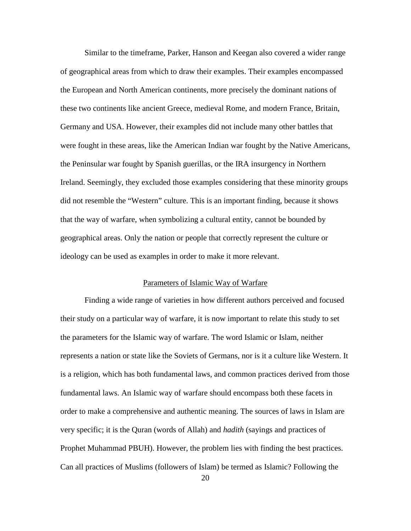Similar to the timeframe, Parker, Hanson and Keegan also covered a wider range of geographical areas from which to draw their examples. Their examples encompassed the European and North American continents, more precisely the dominant nations of these two continents like ancient Greece, medieval Rome, and modern France, Britain, Germany and USA. However, their examples did not include many other battles that were fought in these areas, like the American Indian war fought by the Native Americans, the Peninsular war fought by Spanish guerillas, or the IRA insurgency in Northern Ireland. Seemingly, they excluded those examples considering that these minority groups did not resemble the "Western" culture. This is an important finding, because it shows that the way of warfare, when symbolizing a cultural entity, cannot be bounded by geographical areas. Only the nation or people that correctly represent the culture or ideology can be used as examples in order to make it more relevant.

#### Parameters of Islamic Way of Warfare

Finding a wide range of varieties in how different authors perceived and focused their study on a particular way of warfare, it is now important to relate this study to set the parameters for the Islamic way of warfare. The word Islamic or Islam, neither represents a nation or state like the Soviets of Germans, nor is it a culture like Western. It is a religion, which has both fundamental laws, and common practices derived from those fundamental laws. An Islamic way of warfare should encompass both these facets in order to make a comprehensive and authentic meaning. The sources of laws in Islam are very specific; it is the Quran (words of Allah) and *hadith* (sayings and practices of Prophet Muhammad PBUH). However, the problem lies with finding the best practices. Can all practices of Muslims (followers of Islam) be termed as Islamic? Following the

20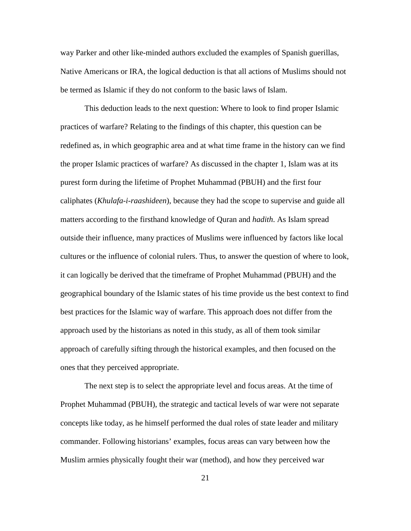way Parker and other like-minded authors excluded the examples of Spanish guerillas, Native Americans or IRA, the logical deduction is that all actions of Muslims should not be termed as Islamic if they do not conform to the basic laws of Islam.

This deduction leads to the next question: Where to look to find proper Islamic practices of warfare? Relating to the findings of this chapter, this question can be redefined as, in which geographic area and at what time frame in the history can we find the proper Islamic practices of warfare? As discussed in the chapter 1, Islam was at its purest form during the lifetime of Prophet Muhammad (PBUH) and the first four caliphates (*Khulafa-i-raashideen*), because they had the scope to supervise and guide all matters according to the firsthand knowledge of Quran and *hadith*. As Islam spread outside their influence, many practices of Muslims were influenced by factors like local cultures or the influence of colonial rulers. Thus, to answer the question of where to look, it can logically be derived that the timeframe of Prophet Muhammad (PBUH) and the geographical boundary of the Islamic states of his time provide us the best context to find best practices for the Islamic way of warfare. This approach does not differ from the approach used by the historians as noted in this study, as all of them took similar approach of carefully sifting through the historical examples, and then focused on the ones that they perceived appropriate.

The next step is to select the appropriate level and focus areas. At the time of Prophet Muhammad (PBUH), the strategic and tactical levels of war were not separate concepts like today, as he himself performed the dual roles of state leader and military commander. Following historians' examples, focus areas can vary between how the Muslim armies physically fought their war (method), and how they perceived war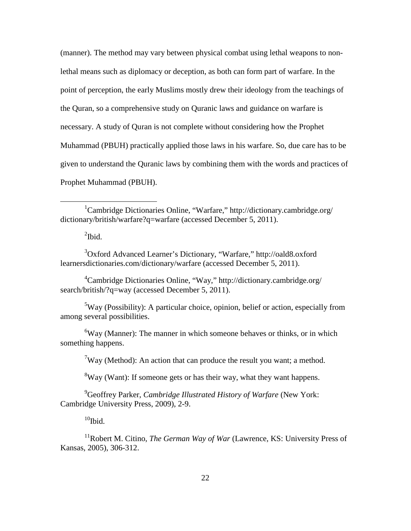<span id="page-29-14"></span><span id="page-29-13"></span><span id="page-29-12"></span><span id="page-29-11"></span>(manner). The method may vary between physical combat using lethal weapons to nonlethal means such as diplomacy or deception, as both can form part of warfare. In the point of perception, the early Muslims mostly drew their ideology from the teachings of the Quran, so a comprehensive study on Quranic laws and guidance on warfare is necessary. A study of Quran is not complete without considering how the Prophet Muhammad (PBUH) practically applied those laws in his warfare. So, due care has to be given to understand the Quranic laws by combining them with the words and practices of Prophet Muhammad (PBUH).

 $\mathrm{^{2}Ibid.}$ 

<span id="page-29-2"></span><span id="page-29-1"></span><sup>3</sup>Oxford Advanced Learner's Dictionary, "Warfare," http://oald8.oxford learnersdictionaries.com/dictionary/warfare (accessed December 5, 2011).

<span id="page-29-3"></span>4 Cambridge Dictionaries Online, "Way," http://dictionary.cambridge.org/ search/british/?q=way (accessed December 5, 2011).

<span id="page-29-4"></span><sup>5</sup>Way (Possibility): A particular choice, opinion, belief or action, especially from among several possibilities.

<span id="page-29-6"></span><span id="page-29-5"></span> ${}^{6}$ Way (Manner): The manner in which someone behaves or thinks, or in which something happens.

 $7$ Way (Method): An action that can produce the result you want; a method.

<sup>8</sup>Way (Want): If someone gets or has their way, what they want happens.

<span id="page-29-8"></span><span id="page-29-7"></span>9 Geoffrey Parker, *Cambridge Illustrated History of Warfare* (New York: Cambridge University Press, 2009), 2-9.

 $10$ Ibid.

<span id="page-29-10"></span><span id="page-29-9"></span><sup>11</sup>Robert M. Citino, *The German Way of War* (Lawrence, KS: University Press of Kansas, 2005), 306-312.

<span id="page-29-15"></span><span id="page-29-0"></span><sup>&</sup>lt;u>1</u> Cambridge Dictionaries Online, "Warfare," http://dictionary.cambridge.org/ dictionary/british/warfare?q=warfare (accessed December 5, 2011).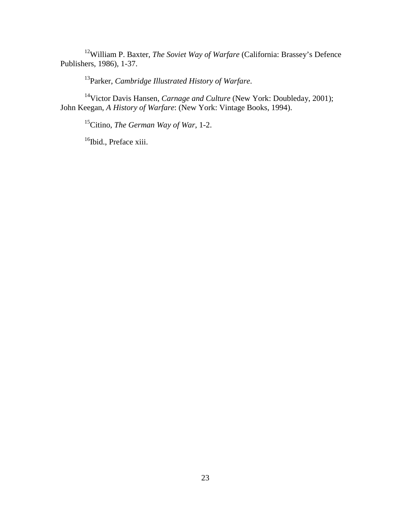12William P. Baxter, *The Soviet Way of Warfare* (California: Brassey's Defence Publishers, 1986), 1-37.

13Parker, *Cambridge Illustrated History of Warfare*.

<sup>14</sup>Victor Davis Hansen, *Carnage and Culture* (New York: Doubleday, 2001); John Keegan, *A History of Warfare*: (New York: Vintage Books, 1994).

15Citino, *The German Way of War*, 1-2.

<sup>16</sup>Ibid., Preface xiii.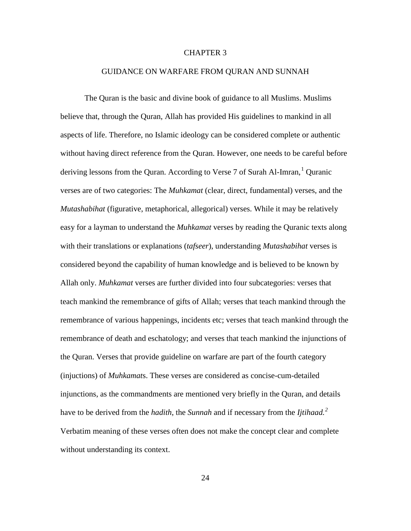### CHAPTER 3

#### GUIDANCE ON WARFARE FROM QURAN AND SUNNAH

The Quran is the basic and divine book of guidance to all Muslims. Muslims believe that, through the Quran, Allah has provided His guidelines to mankind in all aspects of life. Therefore, no Islamic ideology can be considered complete or authentic without having direct reference from the Quran. However, one needs to be careful before deriving lessons from the Quran. According to Verse 7 of Surah Al-Imran,<sup>[1](#page-49-0)</sup> Quranic verses are of two categories: The *Muhkamat* (clear, direct, fundamental) verses, and the *Mutashabihat* (figurative, metaphorical, allegorical) verses. While it may be relatively easy for a layman to understand the *Muhkamat* verses by reading the Quranic texts along with their translations or explanations (*tafseer*), understanding *Mutashabihat* verses is considered beyond the capability of human knowledge and is believed to be known by Allah only. *Muhkamat* verses are further divided into four subcategories: verses that teach mankind the remembrance of gifts of Allah; verses that teach mankind through the remembrance of various happenings, incidents etc; verses that teach mankind through the remembrance of death and eschatology; and verses that teach mankind the injunctions of the Quran. Verses that provide guideline on warfare are part of the fourth category (injuctions) of *Muhkamat*s. These verses are considered as concise-cum-detailed injunctions, as the commandments are mentioned very briefly in the Quran, and details have to be derived from the *hadith*, the *Sunnah* and if necessary from the *Ijtihaad. [2](#page-49-1)* Verbatim meaning of these verses often does not make the concept clear and complete without understanding its context.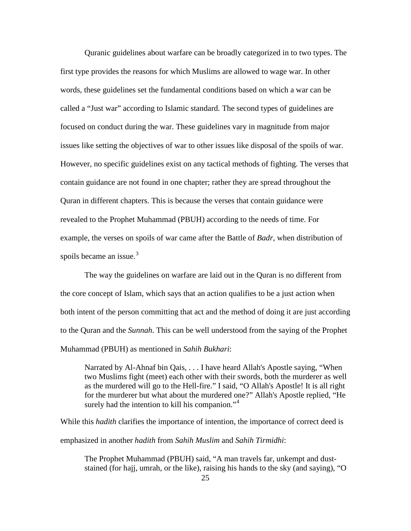Quranic guidelines about warfare can be broadly categorized in to two types. The first type provides the reasons for which Muslims are allowed to wage war. In other words, these guidelines set the fundamental conditions based on which a war can be called a "Just war" according to Islamic standard. The second types of guidelines are focused on conduct during the war. These guidelines vary in magnitude from major issues like setting the objectives of war to other issues like disposal of the spoils of war. However, no specific guidelines exist on any tactical methods of fighting. The verses that contain guidance are not found in one chapter; rather they are spread throughout the Quran in different chapters. This is because the verses that contain guidance were revealed to the Prophet Muhammad (PBUH) according to the needs of time. For example, the verses on spoils of war came after the Battle of *Badr*, when distribution of spoils became an issue. $3$ 

The way the guidelines on warfare are laid out in the Quran is no different from the core concept of Islam, which says that an action qualifies to be a just action when both intent of the person committing that act and the method of doing it are just according to the Quran and the *Sunnah*. This can be well understood from the saying of the Prophet Muhammad (PBUH) as mentioned in *Sahih Bukhari*:

Narrated by Al-Ahnaf bin Qais, . . . I have heard Allah's Apostle saying, "When two Muslims fight (meet) each other with their swords, both the murderer as well as the murdered will go to the Hell-fire." I said, "O Allah's Apostle! It is all right for the murderer but what about the murdered one?" Allah's Apostle replied, "He surely had the intention to kill his companion."<sup>[4](#page-50-1)</sup>

While this *hadith* clarifies the importance of intention, the importance of correct deed is emphasized in another *hadith* from *Sahih Muslim* and *Sahih Tirmidhi*:

The Prophet Muhammad (PBUH) said, "A man travels far, unkempt and duststained (for hajj, umrah, or the like), raising his hands to the sky (and saying), "O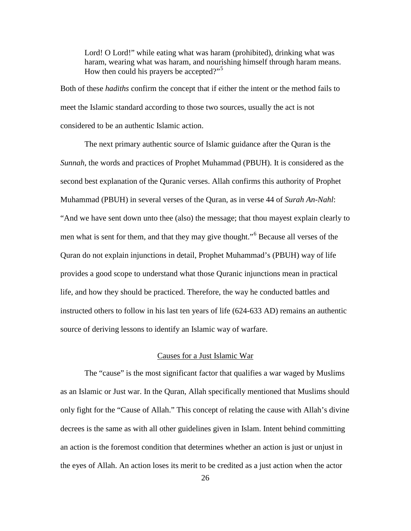Lord! O Lord!" while eating what was haram (prohibited), drinking what was haram, wearing what was haram, and nourishing himself through haram means. How then could his prayers be accepted?"<sup>[5](#page-51-0)</sup>

Both of these *hadiths* confirm the concept that if either the intent or the method fails to meet the Islamic standard according to those two sources, usually the act is not considered to be an authentic Islamic action.

The next primary authentic source of Islamic guidance after the Quran is the *Sunnah*, the words and practices of Prophet Muhammad (PBUH). It is considered as the second best explanation of the Quranic verses. Allah confirms this authority of Prophet Muhammad (PBUH) in several verses of the Quran, as in verse 44 of *Surah An-Nahl*: "And we have sent down unto thee (also) the message; that thou mayest explain clearly to men what is sent for them, and that they may give thought."<sup>[6](#page-51-1)</sup> Because all verses of the Quran do not explain injunctions in detail, Prophet Muhammad's (PBUH) way of life provides a good scope to understand what those Quranic injunctions mean in practical life, and how they should be practiced. Therefore, the way he conducted battles and instructed others to follow in his last ten years of life (624-633 AD) remains an authentic source of deriving lessons to identify an Islamic way of warfare.

#### Causes for a Just Islamic War

The "cause" is the most significant factor that qualifies a war waged by Muslims as an Islamic or Just war. In the Quran, Allah specifically mentioned that Muslims should only fight for the "Cause of Allah." This concept of relating the cause with Allah's divine decrees is the same as with all other guidelines given in Islam. Intent behind committing an action is the foremost condition that determines whether an action is just or unjust in the eyes of Allah. An action loses its merit to be credited as a just action when the actor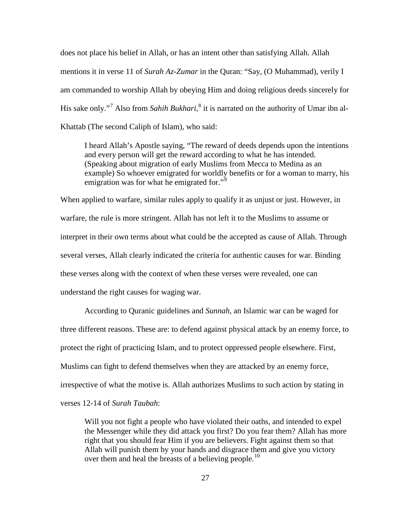does not place his belief in Allah, or has an intent other than satisfying Allah. Allah mentions it in verse 11 of *Surah Az-Zumar* in the Quran: "Say, (O Muhammad), verily I am commanded to worship Allah by obeying Him and doing religious deeds sincerely for His sake only."[7](#page-52-0) Also from *Sahih Bukhari*, [8](#page-52-1) it is narrated on the authority of Umar ibn al-Khattab (The second Caliph of Islam), who said:

I heard Allah's Apostle saying, "The reward of deeds depends upon the intentions and every person will get the reward according to what he has intended. (Speaking about migration of early Muslims from Mecca to Medina as an example) So whoever emigrated for worldly benefits or for a woman to marry, his emigration was for what he emigrated for."<sup>[9](#page-52-2)</sup>

When applied to warfare, similar rules apply to qualify it as unjust or just. However, in warfare, the rule is more stringent. Allah has not left it to the Muslims to assume or interpret in their own terms about what could be the accepted as cause of Allah. Through several verses, Allah clearly indicated the criteria for authentic causes for war. Binding these verses along with the context of when these verses were revealed, one can understand the right causes for waging war.

According to Quranic guidelines and *Sunnah*, an Islamic war can be waged for three different reasons. These are: to defend against physical attack by an enemy force, to protect the right of practicing Islam, and to protect oppressed people elsewhere. First, Muslims can fight to defend themselves when they are attacked by an enemy force, irrespective of what the motive is. Allah authorizes Muslims to such action by stating in verses 12-14 of *Surah Taubah*:

Will you not fight a people who have violated their oaths, and intended to expel the Messenger while they did attack you first? Do you fear them? Allah has more right that you should fear Him if you are believers. Fight against them so that Allah will punish them by your hands and disgrace them and give you victory over them and heal the breasts of a believing people.<sup>[10](#page-52-3)</sup>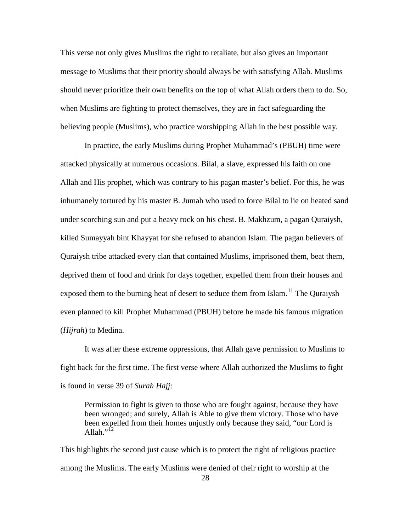This verse not only gives Muslims the right to retaliate, but also gives an important message to Muslims that their priority should always be with satisfying Allah. Muslims should never prioritize their own benefits on the top of what Allah orders them to do. So, when Muslims are fighting to protect themselves, they are in fact safeguarding the believing people (Muslims), who practice worshipping Allah in the best possible way.

In practice, the early Muslims during Prophet Muhammad's (PBUH) time were attacked physically at numerous occasions. Bilal, a slave, expressed his faith on one Allah and His prophet, which was contrary to his pagan master's belief. For this, he was inhumanely tortured by his master B. Jumah who used to force Bilal to lie on heated sand under scorching sun and put a heavy rock on his chest. B. Makhzum, a pagan Quraiysh, killed Sumayyah bint Khayyat for she refused to abandon Islam. The pagan believers of Quraiysh tribe attacked every clan that contained Muslims, imprisoned them, beat them, deprived them of food and drink for days together, expelled them from their houses and exposed them to the burning heat of desert to seduce them from Islam.<sup>[11](#page-53-0)</sup> The Quraiysh even planned to kill Prophet Muhammad (PBUH) before he made his famous migration (*Hijrah*) to Medina.

It was after these extreme oppressions, that Allah gave permission to Muslims to fight back for the first time. The first verse where Allah authorized the Muslims to fight is found in verse 39 of *Surah Hajj*:

Permission to fight is given to those who are fought against, because they have been wronged; and surely, Allah is Able to give them victory. Those who have been expelled from their homes unjustly only because they said, "our Lord is Allah." $^{12}$  $^{12}$  $^{12}$ 

This highlights the second just cause which is to protect the right of religious practice among the Muslims. The early Muslims were denied of their right to worship at the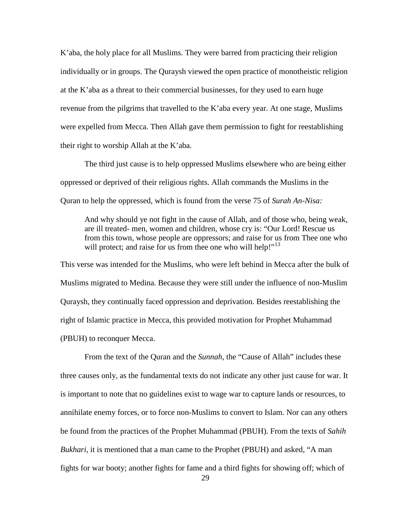K'aba, the holy place for all Muslims. They were barred from practicing their religion individually or in groups. The Quraysh viewed the open practice of monotheistic religion at the K'aba as a threat to their commercial businesses, for they used to earn huge revenue from the pilgrims that travelled to the K'aba every year. At one stage, Muslims were expelled from Mecca. Then Allah gave them permission to fight for reestablishing their right to worship Allah at the K'aba.

The third just cause is to help oppressed Muslims elsewhere who are being either oppressed or deprived of their religious rights. Allah commands the Muslims in the Quran to help the oppressed, which is found from the verse 75 of *Surah An-Nisa:*

And why should ye not fight in the cause of Allah, and of those who, being weak, are ill treated- men, women and children, whose cry is: "Our Lord! Rescue us from this town, whose people are oppressors; and raise for us from Thee one who will protect; and raise for us from thee one who will help!"<sup>[13](#page-54-0)</sup>

This verse was intended for the Muslims, who were left behind in Mecca after the bulk of Muslims migrated to Medina. Because they were still under the influence of non-Muslim Quraysh, they continually faced oppression and deprivation. Besides reestablishing the right of Islamic practice in Mecca, this provided motivation for Prophet Muhammad (PBUH) to reconquer Mecca.

From the text of the Quran and the *Sunnah*, the "Cause of Allah" includes these three causes only, as the fundamental texts do not indicate any other just cause for war. It is important to note that no guidelines exist to wage war to capture lands or resources, to annihilate enemy forces, or to force non-Muslims to convert to Islam. Nor can any others be found from the practices of the Prophet Muhammad (PBUH). From the texts of *Sahih Bukhari*, it is mentioned that a man came to the Prophet (PBUH) and asked, "A man fights for war booty; another fights for fame and a third fights for showing off; which of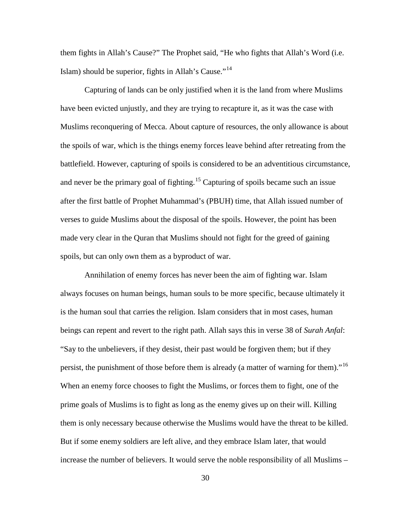them fights in Allah's Cause?" The Prophet said, "He who fights that Allah's Word (i.e. Islam) should be superior, fights in Allah's Cause."[14](#page-55-0)

Capturing of lands can be only justified when it is the land from where Muslims have been evicted unjustly, and they are trying to recapture it, as it was the case with Muslims reconquering of Mecca. About capture of resources, the only allowance is about the spoils of war, which is the things enemy forces leave behind after retreating from the battlefield. However, capturing of spoils is considered to be an adventitious circumstance, and never be the primary goal of fighting.<sup>[15](#page-55-1)</sup> Capturing of spoils became such an issue after the first battle of Prophet Muhammad's (PBUH) time, that Allah issued number of verses to guide Muslims about the disposal of the spoils. However, the point has been made very clear in the Quran that Muslims should not fight for the greed of gaining spoils, but can only own them as a byproduct of war.

Annihilation of enemy forces has never been the aim of fighting war. Islam always focuses on human beings, human souls to be more specific, because ultimately it is the human soul that carries the religion. Islam considers that in most cases, human beings can repent and revert to the right path. Allah says this in verse 38 of *Surah Anfal*: "Say to the unbelievers, if they desist, their past would be forgiven them; but if they persist, the punishment of those before them is already (a matter of warning for them)."<sup>[16](#page-55-2)</sup> When an enemy force chooses to fight the Muslims, or forces them to fight, one of the prime goals of Muslims is to fight as long as the enemy gives up on their will. Killing them is only necessary because otherwise the Muslims would have the threat to be killed. But if some enemy soldiers are left alive, and they embrace Islam later, that would increase the number of believers. It would serve the noble responsibility of all Muslims –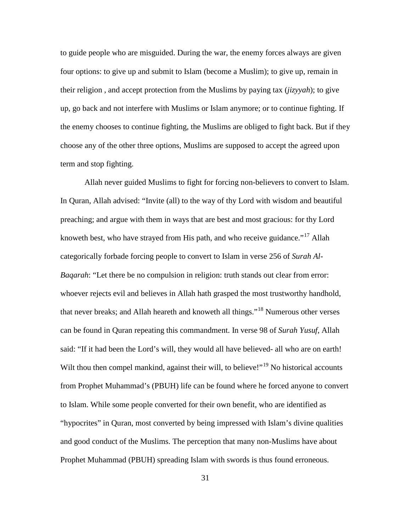to guide people who are misguided. During the war, the enemy forces always are given four options: to give up and submit to Islam (become a Muslim); to give up, remain in their religion , and accept protection from the Muslims by paying tax (*jizyyah*); to give up, go back and not interfere with Muslims or Islam anymore; or to continue fighting. If the enemy chooses to continue fighting, the Muslims are obliged to fight back. But if they choose any of the other three options, Muslims are supposed to accept the agreed upon term and stop fighting.

Allah never guided Muslims to fight for forcing non-believers to convert to Islam. In Quran, Allah advised: "Invite (all) to the way of thy Lord with wisdom and beautiful preaching; and argue with them in ways that are best and most gracious: for thy Lord knoweth best, who have strayed from His path, and who receive guidance."<sup>[17](#page-56-0)</sup> Allah categorically forbade forcing people to convert to Islam in verse 256 of *Surah Al-Baqarah*: "Let there be no compulsion in religion: truth stands out clear from error: whoever rejects evil and believes in Allah hath grasped the most trustworthy handhold, that never breaks; and Allah heareth and knoweth all things."[18](#page-56-1) Numerous other verses can be found in Quran repeating this commandment. In verse 98 of *Surah Yusuf*, Allah said: "If it had been the Lord's will, they would all have believed- all who are on earth! Wilt thou then compel mankind, against their will, to believe!"<sup>[19](#page-56-2)</sup> No historical accounts from Prophet Muhammad's (PBUH) life can be found where he forced anyone to convert to Islam. While some people converted for their own benefit, who are identified as "hypocrites" in Quran, most converted by being impressed with Islam's divine qualities and good conduct of the Muslims. The perception that many non-Muslims have about Prophet Muhammad (PBUH) spreading Islam with swords is thus found erroneous.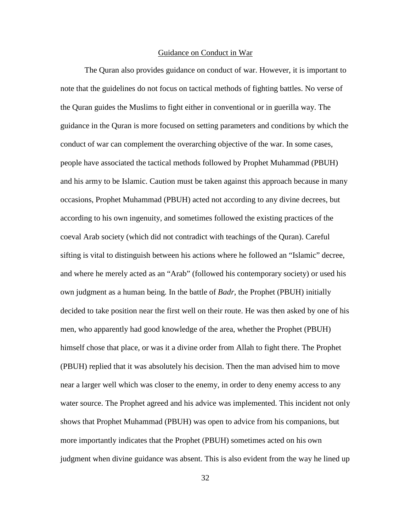#### Guidance on Conduct in War

The Quran also provides guidance on conduct of war. However, it is important to note that the guidelines do not focus on tactical methods of fighting battles. No verse of the Quran guides the Muslims to fight either in conventional or in guerilla way. The guidance in the Quran is more focused on setting parameters and conditions by which the conduct of war can complement the overarching objective of the war. In some cases, people have associated the tactical methods followed by Prophet Muhammad (PBUH) and his army to be Islamic. Caution must be taken against this approach because in many occasions, Prophet Muhammad (PBUH) acted not according to any divine decrees, but according to his own ingenuity, and sometimes followed the existing practices of the coeval Arab society (which did not contradict with teachings of the Quran). Careful sifting is vital to distinguish between his actions where he followed an "Islamic" decree, and where he merely acted as an "Arab" (followed his contemporary society) or used his own judgment as a human being*.* In the battle of *Badr*, the Prophet (PBUH) initially decided to take position near the first well on their route. He was then asked by one of his men, who apparently had good knowledge of the area, whether the Prophet (PBUH) himself chose that place, or was it a divine order from Allah to fight there. The Prophet (PBUH) replied that it was absolutely his decision. Then the man advised him to move near a larger well which was closer to the enemy, in order to deny enemy access to any water source. The Prophet agreed and his advice was implemented. This incident not only shows that Prophet Muhammad (PBUH) was open to advice from his companions, but more importantly indicates that the Prophet (PBUH) sometimes acted on his own judgment when divine guidance was absent. This is also evident from the way he lined up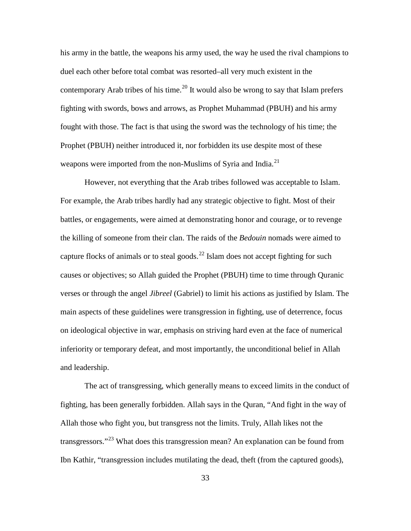his army in the battle, the weapons his army used, the way he used the rival champions to duel each other before total combat was resorted–all very much existent in the contemporary Arab tribes of his time.<sup>[20](#page-57-0)</sup> It would also be wrong to say that Islam prefers fighting with swords, bows and arrows, as Prophet Muhammad (PBUH) and his army fought with those. The fact is that using the sword was the technology of his time; the Prophet (PBUH) neither introduced it, nor forbidden its use despite most of these weapons were imported from the non-Muslims of Syria and India.<sup>[21](#page-57-1)</sup>

However, not everything that the Arab tribes followed was acceptable to Islam. For example, the Arab tribes hardly had any strategic objective to fight. Most of their battles, or engagements, were aimed at demonstrating honor and courage, or to revenge the killing of someone from their clan. The raids of the *Bedouin* nomads were aimed to capture flocks of animals or to steal goods.<sup>[22](#page-57-2)</sup> Islam does not accept fighting for such causes or objectives; so Allah guided the Prophet (PBUH) time to time through Quranic verses or through the angel *Jibreel* (Gabriel) to limit his actions as justified by Islam. The main aspects of these guidelines were transgression in fighting, use of deterrence, focus on ideological objective in war, emphasis on striving hard even at the face of numerical inferiority or temporary defeat, and most importantly, the unconditional belief in Allah and leadership.

The act of transgressing, which generally means to exceed limits in the conduct of fighting, has been generally forbidden. Allah says in the Quran, "And fight in the way of Allah those who fight you, but transgress not the limits. Truly, Allah likes not the transgressors."[23](#page-57-3) What does this transgression mean? An explanation can be found from Ibn Kathir, "transgression includes mutilating the dead, theft (from the captured goods),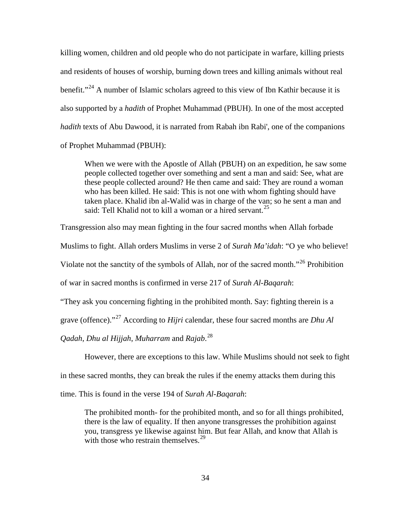killing women, children and old people who do not participate in warfare, killing priests and residents of houses of worship, burning down trees and killing animals without real benefit."<sup>[24](#page-58-0)</sup> A number of Islamic scholars agreed to this view of Ibn Kathir because it is also supported by a *hadith* of Prophet Muhammad (PBUH). In one of the most accepted *hadith* texts of Abu Dawood, it is narrated from Rabah ibn Rabi', one of the companions of Prophet Muhammad (PBUH):

When we were with the Apostle of Allah (PBUH) on an expedition, he saw some people collected together over something and sent a man and said: See, what are these people collected around? He then came and said: They are round a woman who has been killed. He said: This is not one with whom fighting should have taken place. Khalid ibn al-Walid was in charge of the van; so he sent a man and said: Tell Khalid not to kill a woman or a hired servant.<sup>[25](#page-58-1)</sup>

Transgression also may mean fighting in the four sacred months when Allah forbade Muslims to fight. Allah orders Muslims in verse 2 of *Surah Ma'idah*: "O ye who believe! Violate not the sanctity of the symbols of Allah, nor of the sacred month.<sup>"[26](#page-58-2)</sup> Prohibition of war in sacred months is confirmed in verse 217 of *Surah Al-Baqarah*: "They ask you concerning fighting in the prohibited month. Say: fighting therein is a

grave (offence)."[27](#page-58-3) According to *Hijri* calendar, these four sacred months are *Dhu Al* 

*Qadah*, *Dhu al Hijjah*, *Muharram* and *Rajab*. [28](#page-58-4)

However, there are exceptions to this law. While Muslims should not seek to fight

in these sacred months, they can break the rules if the enemy attacks them during this

time. This is found in the verse 194 of *Surah Al-Baqarah*:

The prohibited month- for the prohibited month, and so for all things prohibited, there is the law of equality. If then anyone transgresses the prohibition against you, transgress ye likewise against him. But fear Allah, and know that Allah is with those who restrain themselves. $29$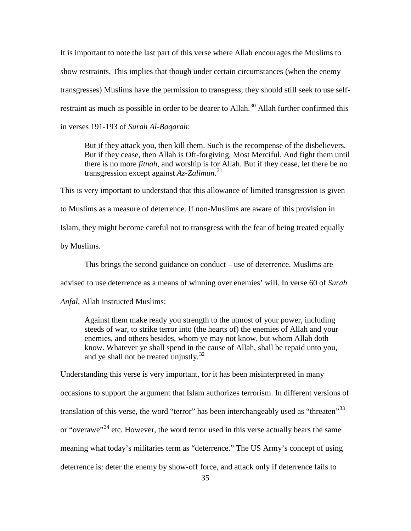It is important to note the last part of this verse where Allah encourages the Muslims to show restraints. This implies that though under certain circumstances (when the enemy transgresses) Muslims have the permission to transgress, they should still seek to use self-restraint as much as possible in order to be dearer to Allah.<sup>[30](#page-59-0)</sup> Allah further confirmed this in verses 191-193 of *Surah Al-Baqarah*:

But if they attack you, then kill them. Such is the recompense of the disbelievers. But if they cease, then Allah is Oft-forgiving, Most Merciful. And fight them until there is no more *fitnah*, and worship is for Allah. But if they cease, let there be no transgression except against *Az-Zalimun*. [31](#page-59-1)

This is very important to understand that this allowance of limited transgression is given to Muslims as a measure of deterrence. If non-Muslims are aware of this provision in Islam, they might become careful not to transgress with the fear of being treated equally by Muslims.

This brings the second guidance on conduct – use of deterrence. Muslims are

advised to use deterrence as a means of winning over enemies' will. In verse 60 of *Surah*

*Anfal*, Allah instructed Muslims:

Against them make ready you strength to the utmost of your power, including steeds of war, to strike terror into (the hearts of) the enemies of Allah and your enemies, and others besides, whom ye may not know, but whom Allah doth know. Whatever ye shall spend in the cause of Allah, shall be repaid unto you, and ye shall not be treated unjustly. $32$ 

Understanding this verse is very important, for it has been misinterpreted in many occasions to support the argument that Islam authorizes terrorism. In different versions of translation of this verse, the word "terror" has been interchangeably used as "threaten"<sup>[33](#page-59-3)</sup> or "overawe"<sup>[34](#page-59-4)</sup> etc. However, the word terror used in this verse actually bears the same meaning what today's militaries term as "deterrence." The US Army's concept of using deterrence is: deter the enemy by show-off force, and attack only if deterrence fails to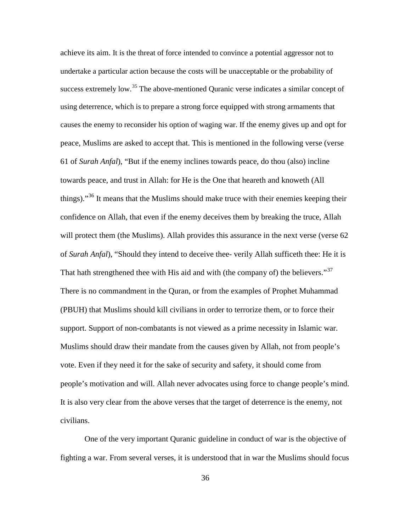achieve its aim. It is the threat of force intended to convince a potential aggressor not to undertake a particular action because the costs will be unacceptable or the probability of success extremely low.<sup>[35](#page-60-0)</sup> The above-mentioned Quranic verse indicates a similar concept of using deterrence, which is to prepare a strong force equipped with strong armaments that causes the enemy to reconsider his option of waging war. If the enemy gives up and opt for peace, Muslims are asked to accept that. This is mentioned in the following verse (verse 61 of *Surah Anfal*), "But if the enemy inclines towards peace, do thou (also) incline towards peace, and trust in Allah: for He is the One that heareth and knoweth (All things)."<sup>[36](#page-60-1)</sup> It means that the Muslims should make truce with their enemies keeping their confidence on Allah, that even if the enemy deceives them by breaking the truce, Allah will protect them (the Muslims). Allah provides this assurance in the next verse (verse 62 of *Surah Anfal*), "Should they intend to deceive thee- verily Allah sufficeth thee: He it is That hath strengthened thee with His aid and with (the company of) the believers."<sup>[37](#page-60-2)</sup> There is no commandment in the Quran, or from the examples of Prophet Muhammad (PBUH) that Muslims should kill civilians in order to terrorize them, or to force their support. Support of non-combatants is not viewed as a prime necessity in Islamic war. Muslims should draw their mandate from the causes given by Allah, not from people's vote. Even if they need it for the sake of security and safety, it should come from people's motivation and will. Allah never advocates using force to change people's mind. It is also very clear from the above verses that the target of deterrence is the enemy, not civilians.

One of the very important Quranic guideline in conduct of war is the objective of fighting a war. From several verses, it is understood that in war the Muslims should focus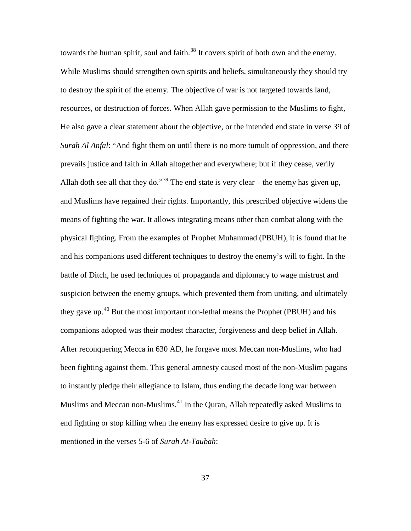towards the human spirit, soul and faith.<sup>[38](#page-61-0)</sup> It covers spirit of both own and the enemy. While Muslims should strengthen own spirits and beliefs, simultaneously they should try to destroy the spirit of the enemy. The objective of war is not targeted towards land, resources, or destruction of forces. When Allah gave permission to the Muslims to fight, He also gave a clear statement about the objective, or the intended end state in verse 39 of *Surah Al Anfal*: "And fight them on until there is no more tumult of oppression, and there prevails justice and faith in Allah altogether and everywhere; but if they cease, verily Allah doth see all that they do."<sup>[39](#page-61-1)</sup> The end state is very clear – the enemy has given up, and Muslims have regained their rights. Importantly, this prescribed objective widens the means of fighting the war. It allows integrating means other than combat along with the physical fighting. From the examples of Prophet Muhammad (PBUH), it is found that he and his companions used different techniques to destroy the enemy's will to fight. In the battle of Ditch, he used techniques of propaganda and diplomacy to wage mistrust and suspicion between the enemy groups, which prevented them from uniting, and ultimately they gave up.[40](#page-61-2) But the most important non-lethal means the Prophet (PBUH) and his companions adopted was their modest character, forgiveness and deep belief in Allah. After reconquering Mecca in 630 AD, he forgave most Meccan non-Muslims, who had been fighting against them. This general amnesty caused most of the non-Muslim pagans to instantly pledge their allegiance to Islam, thus ending the decade long war between Muslims and Meccan non-Muslims.[41](#page-61-3) In the Quran, Allah repeatedly asked Muslims to end fighting or stop killing when the enemy has expressed desire to give up. It is mentioned in the verses 5-6 of *Surah At-Taubah*: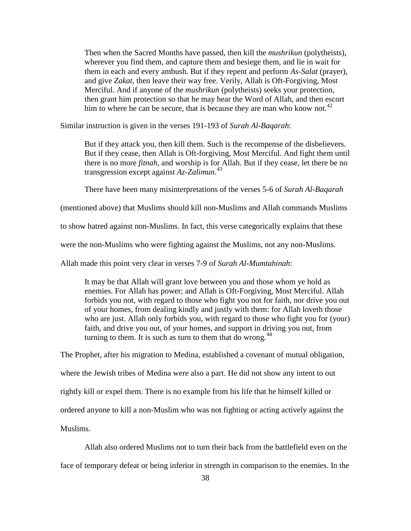Then when the Sacred Months have passed, then kill the *mushrikun* (polytheists), wherever you find them, and capture them and besiege them, and lie in wait for them in each and every ambush. But if they repent and perform *As-Salat* (prayer), and give *Zakat*, then leave their way free. Verily, Allah is Oft-Forgiving, Most Merciful. And if anyone of the *mushrikun* (polytheists) seeks your protection, then grant him protection so that he may hear the Word of Allah, and then escort him to where he can be secure, that is because they are man who know not.<sup>[42](#page-62-0)</sup>

Similar instruction is given in the verses 191-193 of *Surah Al-Baqarah*:

But if they attack you, then kill them. Such is the recompense of the disbelievers. But if they cease, then Allah is Oft-forgiving, Most Merciful. And fight them until there is no more *fitnah*, and worship is for Allah. But if they cease, let there be no transgression except against *Az-Zalimun*. [43](#page-62-1)

There have been many misinterpretations of the verses 5-6 of *Surah Al-Baqarah*

(mentioned above) that Muslims should kill non-Muslims and Allah commands Muslims

to show hatred against non-Muslims. In fact, this verse categorically explains that these

were the non-Muslims who were fighting against the Muslims, not any non-Muslims.

Allah made this point very clear in verses 7-9 of *Surah Al-Mumtahinah*:

It may be that Allah will grant love between you and those whom ye hold as enemies. For Allah has power; and Allah is Oft-Forgiving, Most Merciful. Allah forbids you not, with regard to those who fight you not for faith, nor drive you out of your homes, from dealing kindly and justly with them: for Allah loveth those who are just. Allah only forbids you, with regard to those who fight you for (your) faith, and drive you out, of your homes, and support in driving you out, from turning to them. It is such as turn to them that do wrong. $44$ 

The Prophet, after his migration to Medina, established a covenant of mutual obligation, where the Jewish tribes of Medina were also a part. He did not show any intent to out rightly kill or expel them. There is no example from his life that he himself killed or ordered anyone to kill a non-Muslim who was not fighting or acting actively against the Muslims.

Allah also ordered Muslims not to turn their back from the battlefield even on the

face of temporary defeat or being inferior in strength in comparison to the enemies. In the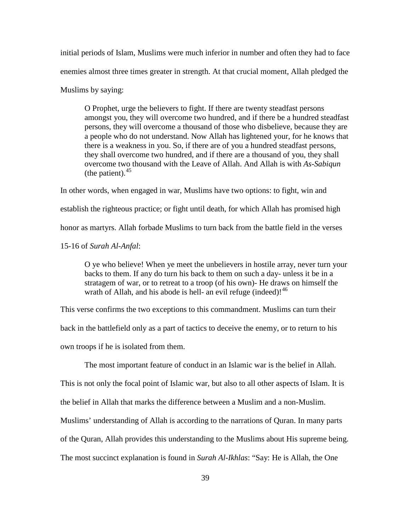initial periods of Islam, Muslims were much inferior in number and often they had to face enemies almost three times greater in strength. At that crucial moment, Allah pledged the Muslims by saying:

O Prophet, urge the believers to fight. If there are twenty steadfast persons amongst you, they will overcome two hundred, and if there be a hundred steadfast persons, they will overcome a thousand of those who disbelieve, because they are a people who do not understand. Now Allah has lightened your, for he knows that there is a weakness in you. So, if there are of you a hundred steadfast persons, they shall overcome two hundred, and if there are a thousand of you, they shall overcome two thousand with the Leave of Allah. And Allah is with *As-Sabiqun* (the patient).  $45$ 

In other words, when engaged in war, Muslims have two options: to fight, win and establish the righteous practice; or fight until death, for which Allah has promised high honor as martyrs. Allah forbade Muslims to turn back from the battle field in the verses 15-16 of *Surah Al-Anfal*:

O ye who believe! When ye meet the unbelievers in hostile array, never turn your backs to them. If any do turn his back to them on such a day- unless it be in a stratagem of war, or to retreat to a troop (of his own)- He draws on himself the wrath of Allah, and his abode is hell- an evil refuge (indeed)! $46$ 

This verse confirms the two exceptions to this commandment. Muslims can turn their back in the battlefield only as a part of tactics to deceive the enemy, or to return to his own troops if he is isolated from them.

The most important feature of conduct in an Islamic war is the belief in Allah.

This is not only the focal point of Islamic war, but also to all other aspects of Islam. It is the belief in Allah that marks the difference between a Muslim and a non-Muslim. Muslims' understanding of Allah is according to the narrations of Quran. In many parts of the Quran, Allah provides this understanding to the Muslims about His supreme being.

The most succinct explanation is found in *Surah Al-Ikhlas*: "Say: He is Allah, the One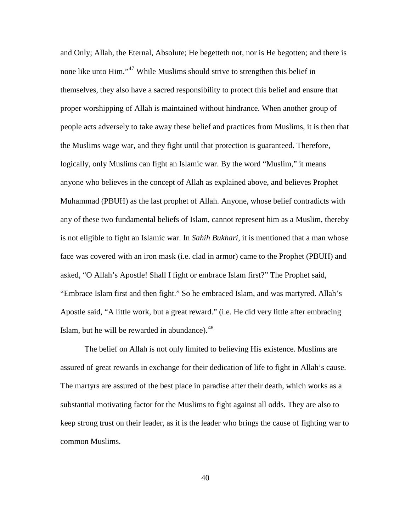and Only; Allah, the Eternal, Absolute; He begetteth not, nor is He begotten; and there is none like unto Him."<sup>[47](#page-64-0)</sup> While Muslims should strive to strengthen this belief in themselves, they also have a sacred responsibility to protect this belief and ensure that proper worshipping of Allah is maintained without hindrance. When another group of people acts adversely to take away these belief and practices from Muslims, it is then that the Muslims wage war, and they fight until that protection is guaranteed. Therefore, logically, only Muslims can fight an Islamic war. By the word "Muslim," it means anyone who believes in the concept of Allah as explained above, and believes Prophet Muhammad (PBUH) as the last prophet of Allah. Anyone, whose belief contradicts with any of these two fundamental beliefs of Islam, cannot represent him as a Muslim, thereby is not eligible to fight an Islamic war. In *Sahih Bukhari*, it is mentioned that a man whose face was covered with an iron mask (i.e. clad in armor) came to the Prophet (PBUH) and asked, "O Allah's Apostle! Shall I fight or embrace Islam first?" The Prophet said, "Embrace Islam first and then fight." So he embraced Islam, and was martyred. Allah's Apostle said, "A little work, but a great reward." (i.e. He did very little after embracing Islam, but he will be rewarded in abundance). $48$ 

The belief on Allah is not only limited to believing His existence. Muslims are assured of great rewards in exchange for their dedication of life to fight in Allah's cause. The martyrs are assured of the best place in paradise after their death, which works as a substantial motivating factor for the Muslims to fight against all odds. They are also to keep strong trust on their leader, as it is the leader who brings the cause of fighting war to common Muslims.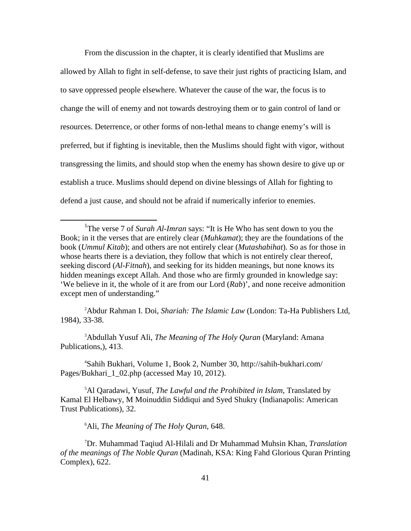From the discussion in the chapter, it is clearly identified that Muslims are allowed by Allah to fight in self-defense, to save their just rights of practicing Islam, and to save oppressed people elsewhere. Whatever the cause of the war, the focus is to change the will of enemy and not towards destroying them or to gain control of land or resources. Deterrence, or other forms of non-lethal means to change enemy's will is preferred, but if fighting is inevitable, then the Muslims should fight with vigor, without transgressing the limits, and should stop when the enemy has shown desire to give up or establish a truce. Muslims should depend on divine blessings of Allah for fighting to defend a just cause, and should not be afraid if numerically inferior to enemies.

2 Abdur Rahman I. Doi, *Shariah: The Islamic Law* (London: Ta-Ha Publishers Ltd, 1984), 33-38.

3 Abdullah Yusuf Ali, *The Meaning of The Holy Quran* (Maryland: Amana Publications,), 413.

4 Sahih Bukhari, Volume 1, Book 2, Number 30, http://sahih-bukhari.com/ Pages/Bukhari<sup>1</sup> 02.php (accessed May 10, 2012).

5 Al Qaradawi, Yusuf, *The Lawful and the Prohibited in Islam*, Translated by Kamal El Helbawy, M Moinuddin Siddiqui and Syed Shukry (Indianapolis: American Trust Publications), 32.

6 Ali, *The Meaning of The Holy Quran*, 648.

7 Dr. Muhammad Taqiud Al-Hilali and Dr Muhammad Muhsin Khan, *Translation of the meanings of The Noble Quran* (Madinah, KSA: King Fahd Glorious Quran Printing Complex), 622.

<sup>&</sup>lt;u>1</u> <sup>1</sup>The verse 7 of *Surah Al-Imran* says: "It is He Who has sent down to you the Book; in it the verses that are entirely clear (*Muhkamat*); they are the foundations of the book (*Ummul Kitab*); and others are not entirely clear (*Mutashabihat*). So as for those in whose hearts there is a deviation, they follow that which is not entirely clear thereof, seeking discord (*Al-Fitnah*), and seeking for its hidden meanings, but none knows its hidden meanings except Allah. And those who are firmly grounded in knowledge say: 'We believe in it, the whole of it are from our Lord (*Rab*)', and none receive admonition except men of understanding."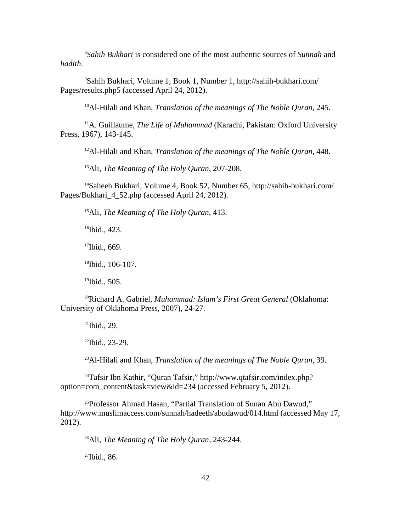8 *Sahih Bukhari* is considered one of the most authentic sources of *Sunnah* and *hadith*.

9 Sahih Bukhari, Volume 1, Book 1, Number 1, http://sahih-bukhari.com/ Pages/results.php5 (accessed April 24, 2012).

10Al-Hilali and Khan, *Translation of the meanings of The Noble Quran*, 245.

<sup>11</sup>A. Guillaume, *The Life of Muhammad* (Karachi, Pakistan: Oxford University Press, 1967), 143-145.

12Al-Hilali and Khan, *Translation of the meanings of The Noble Quran*, 448.

13Ali, *The Meaning of The Holy Quran*, 207-208.

14Saheeh Bukhari, Volume 4, Book 52, Number 65, http://sahih-bukhari.com/ Pages/Bukhari\_4\_52.php (accessed April 24, 2012).

15Ali, *The Meaning of The Holy Quran*, 413.

 $16$ Ibid., 423.

 $17$ Ibid., 669.

18Ibid., 106-107.

 $19$ Ibid., 505.

20Richard A. Gabriel, *Muhammad: Islam's First Great General* (Oklahoma: University of Oklahoma Press, 2007), 24-27.

 $21$ Ibid., 29.

 $22$ Ibid., 23-29.

23Al-Hilali and Khan, *Translation of the meanings of The Noble Quran*, 39.

24Tafsir Ibn Kathir, "Quran Tafsir," http://www.qtafsir.com/index.php? option=com\_content&task=view&id=234 (accessed February 5, 2012).

<sup>25</sup>Professor Ahmad Hasan, "Partial Translation of Sunan Abu Dawud," http://www.muslimaccess.com/sunnah/hadeeth/abudawud/014.html (accessed May 17, 2012).

26Ali, *The Meaning of The Holy Quran*, 243-244.

27Ibid., 86.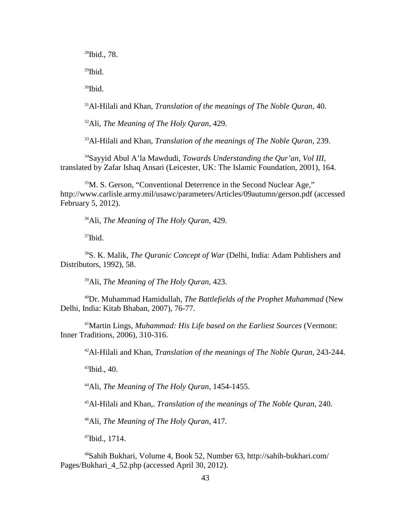28Ibid., 78.  $^{29}$ Ibid.  $30$ Ibid.

31Al-Hilali and Khan, *Translation of the meanings of The Noble Quran*, 40.

32Ali, *The Meaning of The Holy Quran*, 429.

33Al-Hilali and Khan, *Translation of the meanings of The Noble Quran*, 239.

34Sayyid Abul A'la Mawdudi, *Towards Understanding the Qur'an, Vol III*, translated by Zafar Ishaq Ansari (Leicester, UK: The Islamic Foundation, 2001), 164.

<sup>35</sup>M. S. Gerson, "Conventional Deterrence in the Second Nuclear Age," http://www.carlisle.army.mil/usawc/parameters/Articles/09autumn/gerson.pdf (accessed February 5, 2012).

36Ali, *The Meaning of The Holy Quran*, 429.

 $37$ Ibid.

38S. K. Malik, *The Quranic Concept of War* (Delhi, India: Adam Publishers and Distributors, 1992), 58.

39Ali, *The Meaning of The Holy Quran*, 423.

40Dr. Muhammad Hamidullah, *The Battlefields of the Prophet Muhammad* (New Delhi, India: Kitab Bhaban, 2007), 76-77.

41Martin Lings, *Muhammad: His Life based on the Earliest Sources* (Vermont: Inner Traditions, 2006), 310-316.

42Al-Hilali and Khan, *Translation of the meanings of The Noble Quran*, 243-244.

 $43$ Ibid., 40.

44Ali, *The Meaning of The Holy Quran*, 1454-1455.

45Al-Hilali and Khan,. *Translation of the meanings of The Noble Quran*, 240.

46Ali, *The Meaning of The Holy Quran*, 417.

47Ibid., 1714.

48Sahih Bukhari, Volume 4, Book 52, Number 63, http://sahih-bukhari.com/ Pages/Bukhari 4 52.php (accessed April 30, 2012).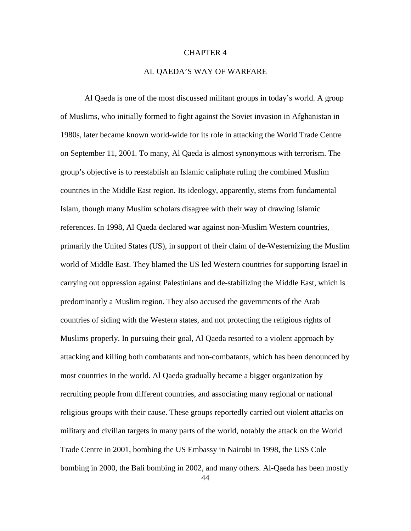## CHAPTER 4

# AL QAEDA'S WAY OF WARFARE

Al Qaeda is one of the most discussed militant groups in today's world. A group of Muslims, who initially formed to fight against the Soviet invasion in Afghanistan in 1980s, later became known world-wide for its role in attacking the World Trade Centre on September 11, 2001. To many, Al Qaeda is almost synonymous with terrorism. The group's objective is to reestablish an Islamic caliphate ruling the combined Muslim countries in the Middle East region. Its ideology, apparently, stems from fundamental Islam, though many Muslim scholars disagree with their way of drawing Islamic references. In 1998, Al Qaeda declared war against non-Muslim Western countries, primarily the United States (US), in support of their claim of de-Westernizing the Muslim world of Middle East. They blamed the US led Western countries for supporting Israel in carrying out oppression against Palestinians and de-stabilizing the Middle East, which is predominantly a Muslim region. They also accused the governments of the Arab countries of siding with the Western states, and not protecting the religious rights of Muslims properly. In pursuing their goal, Al Qaeda resorted to a violent approach by attacking and killing both combatants and non-combatants, which has been denounced by most countries in the world. Al Qaeda gradually became a bigger organization by recruiting people from different countries, and associating many regional or national religious groups with their cause. These groups reportedly carried out violent attacks on military and civilian targets in many parts of the world, notably the attack on the World Trade Centre in 2001, bombing the US Embassy in Nairobi in 1998, the USS Cole bombing in 2000, the Bali bombing in 2002, and many others. Al-Qaeda has been mostly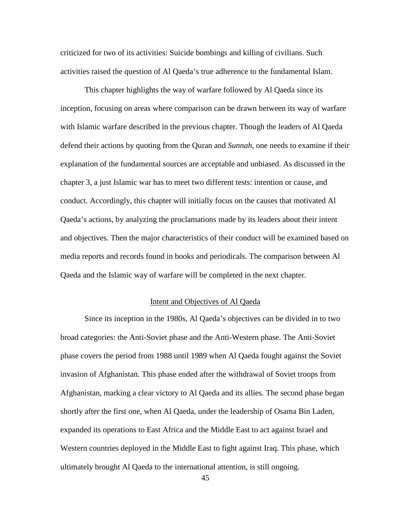criticized for two of its activities: Suicide bombings and killing of civilians. Such activities raised the question of Al Qaeda's true adherence to the fundamental Islam.

This chapter highlights the way of warfare followed by Al Qaeda since its inception, focusing on areas where comparison can be drawn between its way of warfare with Islamic warfare described in the previous chapter. Though the leaders of Al Qaeda defend their actions by quoting from the Quran and *Sunnah*, one needs to examine if their explanation of the fundamental sources are acceptable and unbiased. As discussed in the chapter 3, a just Islamic war has to meet two different tests: intention or cause, and conduct. Accordingly, this chapter will initially focus on the causes that motivated Al Qaeda's actions, by analyzing the proclamations made by its leaders about their intent and objectives. Then the major characteristics of their conduct will be examined based on media reports and records found in books and periodicals. The comparison between Al Qaeda and the Islamic way of warfare will be completed in the next chapter.

# Intent and Objectives of Al Qaeda

Since its inception in the 1980s, Al Qaeda's objectives can be divided in to two broad categories: the Anti-Soviet phase and the Anti-Western phase. The Anti-Soviet phase covers the period from 1988 until 1989 when Al Qaeda fought against the Soviet invasion of Afghanistan. This phase ended after the withdrawal of Soviet troops from Afghanistan, marking a clear victory to Al Qaeda and its allies. The second phase began shortly after the first one, when Al Qaeda, under the leadership of Osama Bin Laden, expanded its operations to East Africa and the Middle East to act against Israel and Western countries deployed in the Middle East to fight against Iraq. This phase, which ultimately brought Al Qaeda to the international attention, is still ongoing.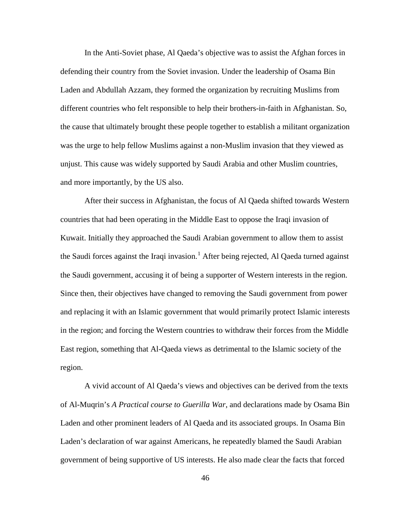In the Anti-Soviet phase, Al Qaeda's objective was to assist the Afghan forces in defending their country from the Soviet invasion. Under the leadership of Osama Bin Laden and Abdullah Azzam, they formed the organization by recruiting Muslims from different countries who felt responsible to help their brothers-in-faith in Afghanistan. So, the cause that ultimately brought these people together to establish a militant organization was the urge to help fellow Muslims against a non-Muslim invasion that they viewed as unjust. This cause was widely supported by Saudi Arabia and other Muslim countries, and more importantly, by the US also.

After their success in Afghanistan, the focus of Al Qaeda shifted towards Western countries that had been operating in the Middle East to oppose the Iraqi invasion of Kuwait. Initially they approached the Saudi Arabian government to allow them to assist the Saudi forces against the Iraqi invasion.<sup>[1](#page-78-0)</sup> After being rejected, Al Qaeda turned against the Saudi government, accusing it of being a supporter of Western interests in the region. Since then, their objectives have changed to removing the Saudi government from power and replacing it with an Islamic government that would primarily protect Islamic interests in the region; and forcing the Western countries to withdraw their forces from the Middle East region, something that Al-Qaeda views as detrimental to the Islamic society of the region.

A vivid account of Al Qaeda's views and objectives can be derived from the texts of Al-Muqrin's *A Practical course to Guerilla War*, and declarations made by Osama Bin Laden and other prominent leaders of Al Qaeda and its associated groups. In Osama Bin Laden's declaration of war against Americans, he repeatedly blamed the Saudi Arabian government of being supportive of US interests. He also made clear the facts that forced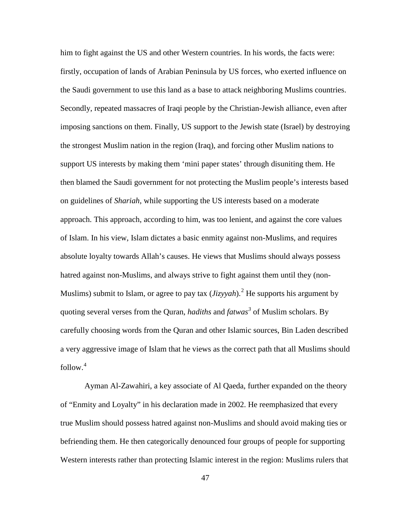<span id="page-54-0"></span>him to fight against the US and other Western countries. In his words, the facts were: firstly, occupation of lands of Arabian Peninsula by US forces, who exerted influence on the Saudi government to use this land as a base to attack neighboring Muslims countries. Secondly, repeated massacres of Iraqi people by the Christian-Jewish alliance, even after imposing sanctions on them. Finally, US support to the Jewish state (Israel) by destroying the strongest Muslim nation in the region (Iraq), and forcing other Muslim nations to support US interests by making them 'mini paper states' through disuniting them. He then blamed the Saudi government for not protecting the Muslim people's interests based on guidelines of *Shariah*, while supporting the US interests based on a moderate approach. This approach, according to him, was too lenient, and against the core values of Islam. In his view, Islam dictates a basic enmity against non-Muslims, and requires absolute loyalty towards Allah's causes. He views that Muslims should always possess hatred against non-Muslims, and always strive to fight against them until they (non-Muslims) submit to Islam, or agree to pay tax (*Jizyyah*). [2](#page-78-1) He supports his argument by quoting several verses from the Quran, *hadiths* and *fatwas[3](#page-78-2)* of Muslim scholars. By carefully choosing words from the Quran and other Islamic sources, Bin Laden described a very aggressive image of Islam that he views as the correct path that all Muslims should follow. [4](#page-78-3)

Ayman Al-Zawahiri, a key associate of Al Qaeda, further expanded on the theory of "Enmity and Loyalty" in his declaration made in 2002. He reemphasized that every true Muslim should possess hatred against non-Muslims and should avoid making ties or befriending them. He then categorically denounced four groups of people for supporting Western interests rather than protecting Islamic interest in the region: Muslims rulers that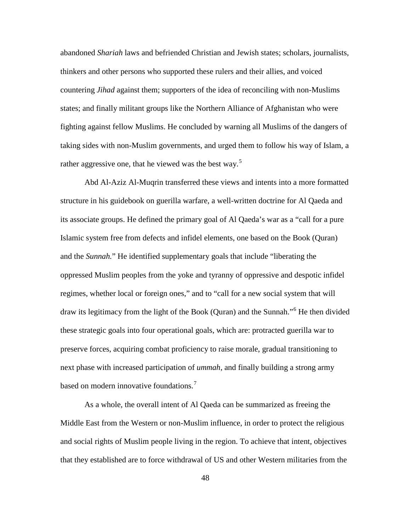abandoned *Shariah* laws and befriended Christian and Jewish states; scholars, journalists, thinkers and other persons who supported these rulers and their allies, and voiced countering *Jihad* against them; supporters of the idea of reconciling with non-Muslims states; and finally militant groups like the Northern Alliance of Afghanistan who were fighting against fellow Muslims. He concluded by warning all Muslims of the dangers of taking sides with non-Muslim governments, and urged them to follow his way of Islam, a rather aggressive one, that he viewed was the best way.<sup>[5](#page-79-0)</sup>

<span id="page-55-2"></span><span id="page-55-1"></span><span id="page-55-0"></span>Abd Al-Aziz Al-Muqrin transferred these views and intents into a more formatted structure in his guidebook on guerilla warfare, a well-written doctrine for Al Qaeda and its associate groups. He defined the primary goal of Al Qaeda's war as a "call for a pure Islamic system free from defects and infidel elements, one based on the Book (Quran) and the *Sunnah.*" He identified supplementary goals that include "liberating the oppressed Muslim peoples from the yoke and tyranny of oppressive and despotic infidel regimes, whether local or foreign ones," and to "call for a new social system that will draw its legitimacy from the light of the Book (Quran) and the Sunnah.<sup>5[6](#page-79-1)</sup> He then divided these strategic goals into four operational goals, which are: protracted guerilla war to preserve forces, acquiring combat proficiency to raise morale, gradual transitioning to next phase with increased participation of *ummah*, and finally building a strong army based on modern innovative foundations.<sup>[7](#page-79-2)</sup>

As a whole, the overall intent of Al Qaeda can be summarized as freeing the Middle East from the Western or non-Muslim influence, in order to protect the religious and social rights of Muslim people living in the region. To achieve that intent, objectives that they established are to force withdrawal of US and other Western militaries from the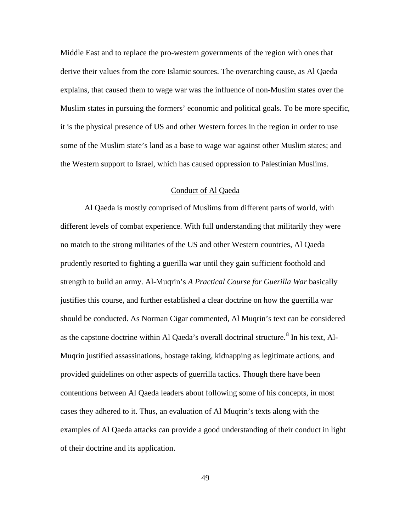Middle East and to replace the pro-western governments of the region with ones that derive their values from the core Islamic sources. The overarching cause, as Al Qaeda explains, that caused them to wage war was the influence of non-Muslim states over the Muslim states in pursuing the formers' economic and political goals. To be more specific, it is the physical presence of US and other Western forces in the region in order to use some of the Muslim state's land as a base to wage war against other Muslim states; and the Western support to Israel, which has caused oppression to Palestinian Muslims.

# Conduct of Al Qaeda

<span id="page-56-2"></span><span id="page-56-1"></span><span id="page-56-0"></span>Al Qaeda is mostly comprised of Muslims from different parts of world, with different levels of combat experience. With full understanding that militarily they were no match to the strong militaries of the US and other Western countries, Al Qaeda prudently resorted to fighting a guerilla war until they gain sufficient foothold and strength to build an army. Al-Muqrin's *A Practical Course for Guerilla War* basically justifies this course, and further established a clear doctrine on how the guerrilla war should be conducted. As Norman Cigar commented, Al Muqrin's text can be considered as the capstone doctrine within Al Qaeda's overall doctrinal structure.<sup>[8](#page-80-0)</sup> In his text, Al-Muqrin justified assassinations, hostage taking, kidnapping as legitimate actions, and provided guidelines on other aspects of guerrilla tactics. Though there have been contentions between Al Qaeda leaders about following some of his concepts, in most cases they adhered to it. Thus, an evaluation of Al Muqrin's texts along with the examples of Al Qaeda attacks can provide a good understanding of their conduct in light of their doctrine and its application.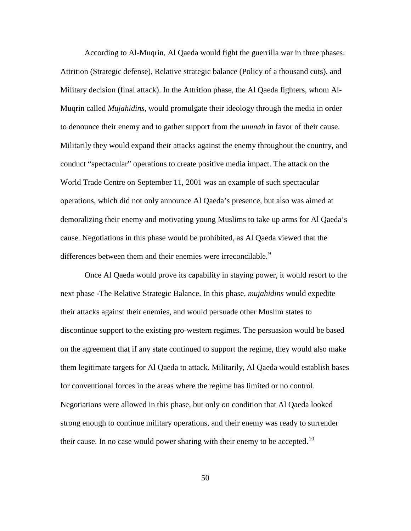According to Al-Muqrin, Al Qaeda would fight the guerrilla war in three phases: Attrition (Strategic defense), Relative strategic balance (Policy of a thousand cuts), and Military decision (final attack). In the Attrition phase, the Al Qaeda fighters, whom Al-Muqrin called *Mujahidins*, would promulgate their ideology through the media in order to denounce their enemy and to gather support from the *ummah* in favor of their cause. Militarily they would expand their attacks against the enemy throughout the country, and conduct "spectacular" operations to create positive media impact. The attack on the World Trade Centre on September 11, 2001 was an example of such spectacular operations, which did not only announce Al Qaeda's presence, but also was aimed at demoralizing their enemy and motivating young Muslims to take up arms for Al Qaeda's cause. Negotiations in this phase would be prohibited, as Al Qaeda viewed that the differences between them and their enemies were irreconcilable.<sup>[9](#page-81-0)</sup>

<span id="page-57-3"></span><span id="page-57-2"></span><span id="page-57-1"></span><span id="page-57-0"></span>Once Al Qaeda would prove its capability in staying power, it would resort to the next phase -The Relative Strategic Balance. In this phase, *mujahidins* would expedite their attacks against their enemies, and would persuade other Muslim states to discontinue support to the existing pro-western regimes. The persuasion would be based on the agreement that if any state continued to support the regime, they would also make them legitimate targets for Al Qaeda to attack. Militarily, Al Qaeda would establish bases for conventional forces in the areas where the regime has limited or no control. Negotiations were allowed in this phase, but only on condition that Al Qaeda looked strong enough to continue military operations, and their enemy was ready to surrender their cause. In no case would power sharing with their enemy to be accepted.<sup>[10](#page-81-1)</sup>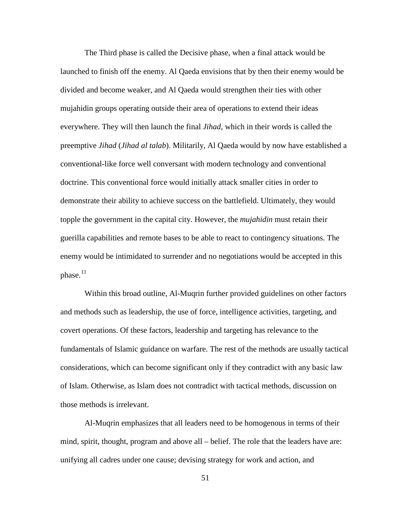<span id="page-58-5"></span><span id="page-58-4"></span>The Third phase is called the Decisive phase, when a final attack would be launched to finish off the enemy. Al Qaeda envisions that by then their enemy would be divided and become weaker, and Al Qaeda would strengthen their ties with other mujahidin groups operating outside their area of operations to extend their ideas everywhere. They will then launch the final *Jihad*, which in their words is called the preemptive *Jihad* (*Jihad al talab*). Militarily, Al Qaeda would by now have established a conventional-like force well conversant with modern technology and conventional doctrine. This conventional force would initially attack smaller cities in order to demonstrate their ability to achieve success on the battlefield. Ultimately, they would topple the government in the capital city. However, the *mujahidin* must retain their guerilla capabilities and remote bases to be able to react to contingency situations. The enemy would be intimidated to surrender and no negotiations would be accepted in this phase.<sup>[11](#page-82-0)</sup>

Within this broad outline, Al-Muqrin further provided guidelines on other factors and methods such as leadership, the use of force, intelligence activities, targeting, and covert operations. Of these factors, leadership and targeting has relevance to the fundamentals of Islamic guidance on warfare. The rest of the methods are usually tactical considerations, which can become significant only if they contradict with any basic law of Islam. Otherwise, as Islam does not contradict with tactical methods, discussion on those methods is irrelevant.

<span id="page-58-3"></span><span id="page-58-2"></span><span id="page-58-1"></span><span id="page-58-0"></span>Al-Muqrin emphasizes that all leaders need to be homogenous in terms of their mind, spirit, thought, program and above all – belief. The role that the leaders have are: unifying all cadres under one cause; devising strategy for work and action, and

51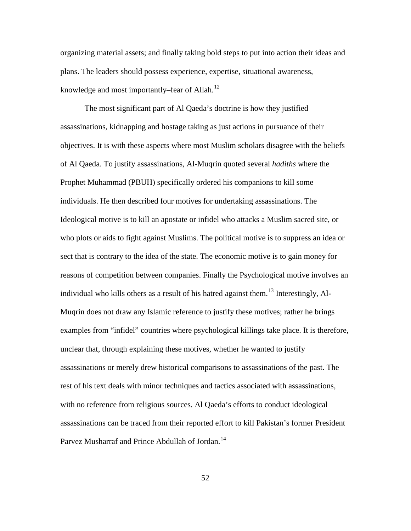organizing material assets; and finally taking bold steps to put into action their ideas and plans. The leaders should possess experience, expertise, situational awareness, knowledge and most importantly–fear of Allah.<sup>[12](#page-83-0)</sup>

<span id="page-59-4"></span><span id="page-59-3"></span><span id="page-59-2"></span><span id="page-59-1"></span><span id="page-59-0"></span>The most significant part of Al Qaeda's doctrine is how they justified assassinations, kidnapping and hostage taking as just actions in pursuance of their objectives. It is with these aspects where most Muslim scholars disagree with the beliefs of Al Qaeda. To justify assassinations, Al-Muqrin quoted several *hadiths* where the Prophet Muhammad (PBUH) specifically ordered his companions to kill some individuals. He then described four motives for undertaking assassinations. The Ideological motive is to kill an apostate or infidel who attacks a Muslim sacred site, or who plots or aids to fight against Muslims. The political motive is to suppress an idea or sect that is contrary to the idea of the state. The economic motive is to gain money for reasons of competition between companies. Finally the Psychological motive involves an individual who kills others as a result of his hatred against them.<sup>[13](#page-83-1)</sup> Interestingly, Al-Muqrin does not draw any Islamic reference to justify these motives; rather he brings examples from "infidel" countries where psychological killings take place. It is therefore, unclear that, through explaining these motives, whether he wanted to justify assassinations or merely drew historical comparisons to assassinations of the past. The rest of his text deals with minor techniques and tactics associated with assassinations, with no reference from religious sources. Al Qaeda's efforts to conduct ideological assassinations can be traced from their reported effort to kill Pakistan's former President Parvez Musharraf and Prince Abdullah of Jordan.<sup>[14](#page-83-2)</sup>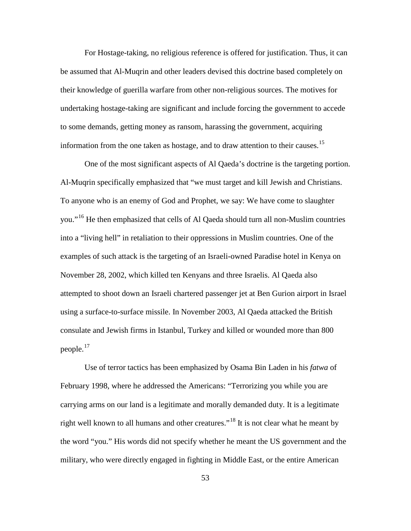For Hostage-taking, no religious reference is offered for justification. Thus, it can be assumed that Al-Muqrin and other leaders devised this doctrine based completely on their knowledge of guerilla warfare from other non-religious sources. The motives for undertaking hostage-taking are significant and include forcing the government to accede to some demands, getting money as ransom, harassing the government, acquiring information from the one taken as hostage, and to draw attention to their causes.[15](#page-84-0)

<span id="page-60-2"></span><span id="page-60-1"></span><span id="page-60-0"></span>One of the most significant aspects of Al Qaeda's doctrine is the targeting portion. Al-Muqrin specifically emphasized that "we must target and kill Jewish and Christians. To anyone who is an enemy of God and Prophet, we say: We have come to slaughter you."[16](#page-84-1) He then emphasized that cells of Al Qaeda should turn all non-Muslim countries into a "living hell" in retaliation to their oppressions in Muslim countries. One of the examples of such attack is the targeting of an Israeli-owned Paradise hotel in Kenya on November 28, 2002, which killed ten Kenyans and three Israelis. Al Qaeda also attempted to shoot down an Israeli chartered passenger jet at Ben Gurion airport in Israel using a surface-to-surface missile. In November 2003, Al Qaeda attacked the British consulate and Jewish firms in Istanbul, Turkey and killed or wounded more than 800 people.[17](#page-84-2)

Use of terror tactics has been emphasized by Osama Bin Laden in his *fatwa* of February 1998, where he addressed the Americans: "Terrorizing you while you are carrying arms on our land is a legitimate and morally demanded duty. It is a legitimate right well known to all humans and other creatures.<sup> $18$ </sup> It is not clear what he meant by the word "you." His words did not specify whether he meant the US government and the military, who were directly engaged in fighting in Middle East, or the entire American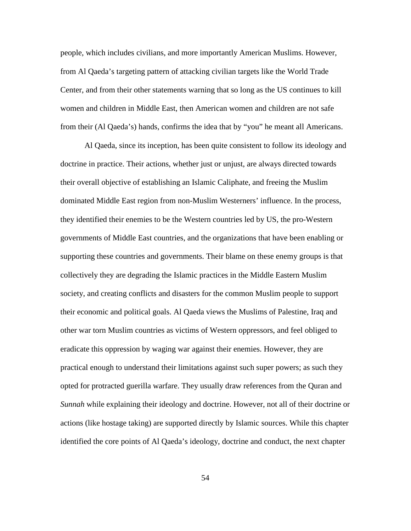people, which includes civilians, and more importantly American Muslims. However, from Al Qaeda's targeting pattern of attacking civilian targets like the World Trade Center, and from their other statements warning that so long as the US continues to kill women and children in Middle East, then American women and children are not safe from their (Al Qaeda's) hands, confirms the idea that by "you" he meant all Americans.

<span id="page-61-3"></span><span id="page-61-2"></span><span id="page-61-1"></span><span id="page-61-0"></span>Al Qaeda, since its inception, has been quite consistent to follow its ideology and doctrine in practice. Their actions, whether just or unjust, are always directed towards their overall objective of establishing an Islamic Caliphate, and freeing the Muslim dominated Middle East region from non-Muslim Westerners' influence. In the process, they identified their enemies to be the Western countries led by US, the pro-Western governments of Middle East countries, and the organizations that have been enabling or supporting these countries and governments. Their blame on these enemy groups is that collectively they are degrading the Islamic practices in the Middle Eastern Muslim society, and creating conflicts and disasters for the common Muslim people to support their economic and political goals. Al Qaeda views the Muslims of Palestine, Iraq and other war torn Muslim countries as victims of Western oppressors, and feel obliged to eradicate this oppression by waging war against their enemies. However, they are practical enough to understand their limitations against such super powers; as such they opted for protracted guerilla warfare. They usually draw references from the Quran and *Sunnah* while explaining their ideology and doctrine. However, not all of their doctrine or actions (like hostage taking) are supported directly by Islamic sources. While this chapter identified the core points of Al Qaeda's ideology, doctrine and conduct, the next chapter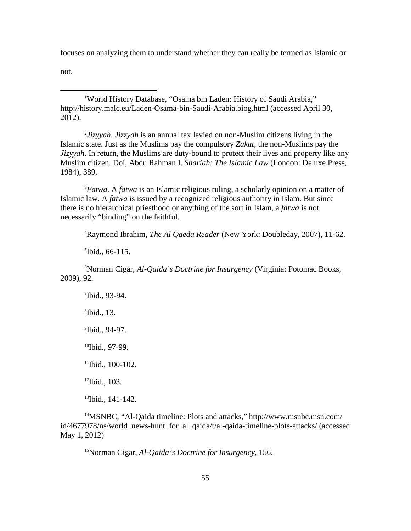focuses on analyzing them to understand whether they can really be termed as Islamic or

not.

1 World History Database, "Osama bin Laden: History of Saudi Arabia," http://history.malc.eu/Laden-Osama-bin-Saudi-Arabia.biog.html (accessed April 30, 2012).

2 *Jizyyah*. *Jizzyah* is an annual tax levied on non-Muslim citizens living in the Islamic state. Just as the Muslims pay the compulsory *Zakat*, the non-Muslims pay the *Jizyyah*. In return, the Muslims are duty-bound to protect their lives and property like any Muslim citizen. Doi, Abdu Rahman I. *Shariah: The Islamic Law* (London: Deluxe Press, 1984), 389.

3 *Fatwa*. A *fatwa* is an Islamic religious ruling, a scholarly opinion on a matter of Islamic law. A *fatwa* is issued by a recognized religious authority in Islam. But since there is no hierarchical priesthood or anything of the sort in Islam, a *fatwa* is not necessarily "binding" on the faithful.

4 Raymond Ibrahim, *The Al Qaeda Reader* (New York: Doubleday, 2007), 11-62.

5 Ibid., 66-115.

6 Norman Cigar, *Al-Qaida's Doctrine for Insurgency* (Virginia: Potomac Books, 2009), 92.

7 Ibid., 93-94. 8 Ibid., 13. 9 Ibid., 94-97. <sup>10</sup>Ibid., 97-99. <sup>11</sup>Ibid., 100-102.  $12$ Ibid., 103. <sup>13</sup>Ibid., 141-142.

<span id="page-62-2"></span><span id="page-62-1"></span><span id="page-62-0"></span>14MSNBC, "Al-Qaida timeline: Plots and attacks," http://www.msnbc.msn.com/ id/4677978/ns/world\_news-hunt\_for\_al\_qaida/t/al-qaida-timeline-plots-attacks/ (accessed May 1, 2012)

15Norman Cigar, *Al-Qaida's Doctrine for Insurgency*, 156.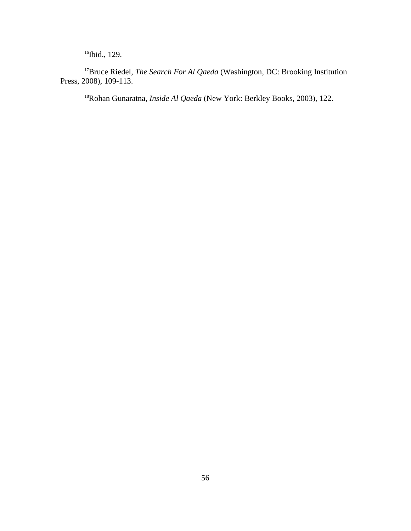<sup>16</sup>Ibid., 129.

<sup>17</sup>Bruce Riedel, *The Search For Al Qaeda* (Washington, DC: Brooking Institution Press, 2008), 109-113.

<span id="page-63-1"></span><span id="page-63-0"></span>18Rohan Gunaratna, *Inside Al Qaeda* (New York: Berkley Books, 2003), 122.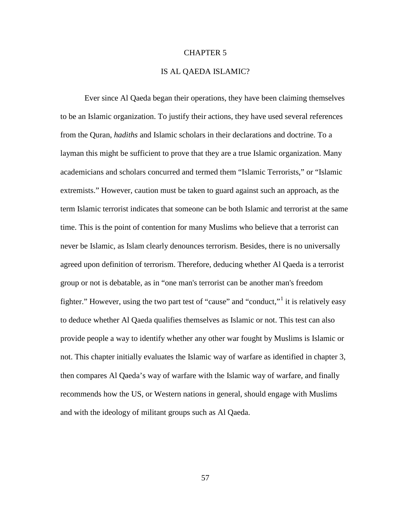## CHAPTER 5

# IS AL QAEDA ISLAMIC?

<span id="page-64-1"></span><span id="page-64-0"></span>Ever since Al Qaeda began their operations, they have been claiming themselves to be an Islamic organization. To justify their actions, they have used several references from the Quran, *hadiths* and Islamic scholars in their declarations and doctrine. To a layman this might be sufficient to prove that they are a true Islamic organization. Many academicians and scholars concurred and termed them "Islamic Terrorists," or "Islamic extremists." However, caution must be taken to guard against such an approach, as the term Islamic terrorist indicates that someone can be both Islamic and terrorist at the same time. This is the point of contention for many Muslims who believe that a terrorist can never be Islamic, as Islam clearly denounces terrorism. Besides, there is no universally agreed upon definition of terrorism. Therefore, deducing whether Al Qaeda is a terrorist group or not is debatable, as in "one man's terrorist can be another man's freedom fighter." However, using the two part test of "cause" and "conduct," it is relatively easy to deduce whether Al Qaeda qualifies themselves as Islamic or not. This test can also provide people a way to identify whether any other war fought by Muslims is Islamic or not. This chapter initially evaluates the Islamic way of warfare as identified in chapter 3, then compares Al Qaeda's way of warfare with the Islamic way of warfare, and finally recommends how the US, or Western nations in general, should engage with Muslims and with the ideology of militant groups such as Al Qaeda.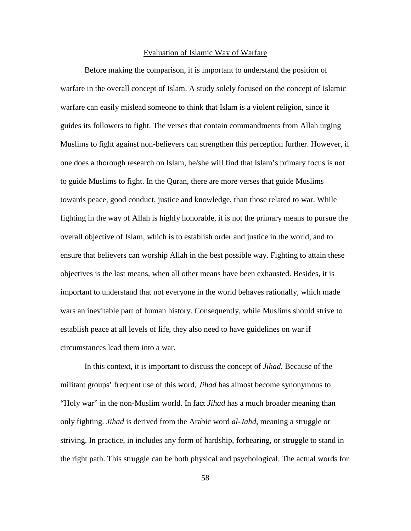#### Evaluation of Islamic Way of Warfare

Before making the comparison, it is important to understand the position of warfare in the overall concept of Islam. A study solely focused on the concept of Islamic warfare can easily mislead someone to think that Islam is a violent religion, since it guides its followers to fight. The verses that contain commandments from Allah urging Muslims to fight against non-believers can strengthen this perception further. However, if one does a thorough research on Islam, he/she will find that Islam's primary focus is not to guide Muslims to fight. In the Quran, there are more verses that guide Muslims towards peace, good conduct, justice and knowledge, than those related to war. While fighting in the way of Allah is highly honorable, it is not the primary means to pursue the overall objective of Islam, which is to establish order and justice in the world, and to ensure that believers can worship Allah in the best possible way. Fighting to attain these objectives is the last means, when all other means have been exhausted. Besides, it is important to understand that not everyone in the world behaves rationally, which made wars an inevitable part of human history. Consequently, while Muslims should strive to establish peace at all levels of life, they also need to have guidelines on war if circumstances lead them into a war.

In this context, it is important to discuss the concept of *Jihad*. Because of the militant groups' frequent use of this word, *Jihad* has almost become synonymous to "Holy war" in the non-Muslim world. In fact *Jihad* has a much broader meaning than only fighting. *Jihad* is derived from the Arabic word *al-Jahd*, meaning a struggle or striving. In practice, in includes any form of hardship, forbearing, or struggle to stand in the right path. This struggle can be both physical and psychological. The actual words for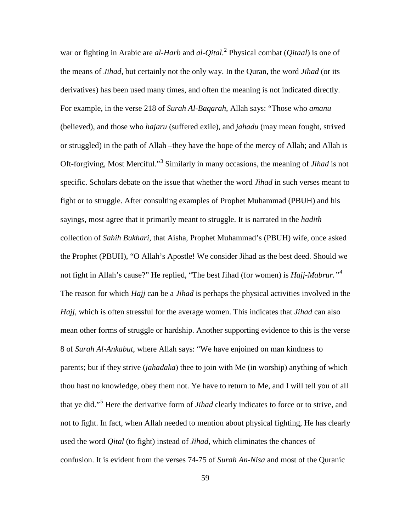war or fighting in Arabic are *al-Harb* and *al-Qital*. [2](#page-84-5) Physical combat (*Qitaal*) is one of the means of *Jihad*, but certainly not the only way. In the Quran, the word *Jihad* (or its derivatives) has been used many times, and often the meaning is not indicated directly. For example, in the verse 218 of *Surah Al-Baqarah*, Allah says: "Those who *amanu* (believed), and those who *hajaru* (suffered exile), and *jahadu* (may mean fought, strived or struggled) in the path of Allah –they have the hope of the mercy of Allah; and Allah is Oft-forgiving, Most Merciful."[3](#page-84-6) Similarly in many occasions, the meaning of *Jihad* is not specific. Scholars debate on the issue that whether the word *Jihad* in such verses meant to fight or to struggle. After consulting examples of Prophet Muhammad (PBUH) and his sayings, most agree that it primarily meant to struggle. It is narrated in the *hadith* collection of *Sahih Bukhari*, that Aisha, Prophet Muhammad's (PBUH) wife, once asked the Prophet (PBUH), "O Allah's Apostle! We consider Jihad as the best deed. Should we not fight in Allah's cause?" He replied, "The best Jihad (for women) is *Hajj-Mabrur."[4](#page-84-7)* The reason for which *Hajj* can be a *Jihad* is perhaps the physical activities involved in the *Hajj*, which is often stressful for the average women. This indicates that *Jihad* can also mean other forms of struggle or hardship. Another supporting evidence to this is the verse 8 of *Surah Al-Ankabut*, where Allah says: "We have enjoined on man kindness to parents; but if they strive (*jahadaka*) thee to join with Me (in worship) anything of which thou hast no knowledge, obey them not. Ye have to return to Me, and I will tell you of all that ye did."[5](#page-84-8) Here the derivative form of *Jihad* clearly indicates to force or to strive, and not to fight. In fact, when Allah needed to mention about physical fighting, He has clearly used the word *Qital* (to fight) instead of *Jihad,* which eliminates the chances of confusion. It is evident from the verses 74-75 of *Surah An-Nisa* and most of the Quranic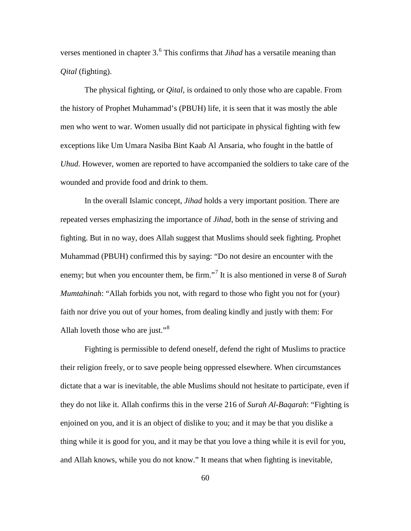verses mentioned in chapter 3.<sup>[6](#page-84-9)</sup> This confirms that *Jihad* has a versatile meaning than *Qital* (fighting).

The physical fighting, or *Qital*, is ordained to only those who are capable. From the history of Prophet Muhammad's (PBUH) life, it is seen that it was mostly the able men who went to war. Women usually did not participate in physical fighting with few exceptions like Um Umara Nasiba Bint Kaab Al Ansaria, who fought in the battle of *Uhud*. However, women are reported to have accompanied the soldiers to take care of the wounded and provide food and drink to them.

In the overall Islamic concept, *Jihad* holds a very important position. There are repeated verses emphasizing the importance of *Jihad*, both in the sense of striving and fighting. But in no way, does Allah suggest that Muslims should seek fighting. Prophet Muhammad (PBUH) confirmed this by saying: "Do not desire an encounter with the enemy; but when you encounter them, be firm."<sup>[7](#page-84-1)</sup> It is also mentioned in verse 8 of *Surah Mumtahinah*: "Allah forbids you not, with regard to those who fight you not for (your) faith nor drive you out of your homes, from dealing kindly and justly with them: For Allah loveth those who are just."<sup>[8](#page-84-10)</sup>

Fighting is permissible to defend oneself, defend the right of Muslims to practice their religion freely, or to save people being oppressed elsewhere. When circumstances dictate that a war is inevitable, the able Muslims should not hesitate to participate, even if they do not like it. Allah confirms this in the verse 216 of *Surah Al-Baqarah*: "Fighting is enjoined on you, and it is an object of dislike to you; and it may be that you dislike a thing while it is good for you, and it may be that you love a thing while it is evil for you, and Allah knows, while you do not know." It means that when fighting is inevitable,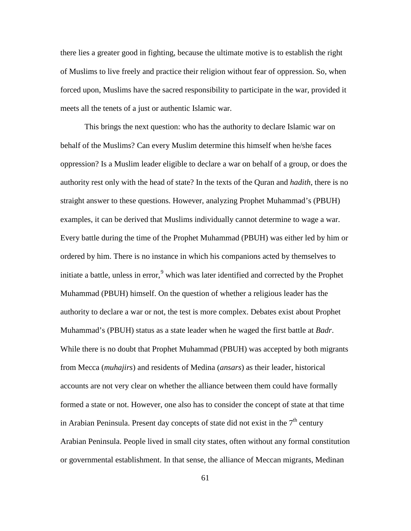there lies a greater good in fighting, because the ultimate motive is to establish the right of Muslims to live freely and practice their religion without fear of oppression. So, when forced upon, Muslims have the sacred responsibility to participate in the war, provided it meets all the tenets of a just or authentic Islamic war.

This brings the next question: who has the authority to declare Islamic war on behalf of the Muslims? Can every Muslim determine this himself when he/she faces oppression? Is a Muslim leader eligible to declare a war on behalf of a group, or does the authority rest only with the head of state? In the texts of the Quran and *hadith*, there is no straight answer to these questions. However, analyzing Prophet Muhammad's (PBUH) examples, it can be derived that Muslims individually cannot determine to wage a war. Every battle during the time of the Prophet Muhammad (PBUH) was either led by him or ordered by him. There is no instance in which his companions acted by themselves to initiate a battle, unless in error,  $9$  which was later identified and corrected by the Prophet Muhammad (PBUH) himself. On the question of whether a religious leader has the authority to declare a war or not, the test is more complex. Debates exist about Prophet Muhammad's (PBUH) status as a state leader when he waged the first battle at *Badr*. While there is no doubt that Prophet Muhammad (PBUH) was accepted by both migrants from Mecca (*muhajirs*) and residents of Medina (*ansars*) as their leader, historical accounts are not very clear on whether the alliance between them could have formally formed a state or not. However, one also has to consider the concept of state at that time in Arabian Peninsula. Present day concepts of state did not exist in the  $7<sup>th</sup>$  century Arabian Peninsula. People lived in small city states, often without any formal constitution or governmental establishment. In that sense, the alliance of Meccan migrants, Medinan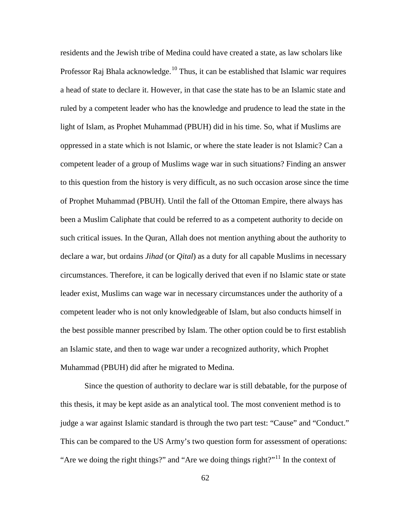residents and the Jewish tribe of Medina could have created a state, as law scholars like Professor Raj Bhala acknowledge.<sup>[10](#page-84-12)</sup> Thus, it can be established that Islamic war requires a head of state to declare it. However, in that case the state has to be an Islamic state and ruled by a competent leader who has the knowledge and prudence to lead the state in the light of Islam, as Prophet Muhammad (PBUH) did in his time. So, what if Muslims are oppressed in a state which is not Islamic, or where the state leader is not Islamic? Can a competent leader of a group of Muslims wage war in such situations? Finding an answer to this question from the history is very difficult, as no such occasion arose since the time of Prophet Muhammad (PBUH). Until the fall of the Ottoman Empire, there always has been a Muslim Caliphate that could be referred to as a competent authority to decide on such critical issues. In the Quran, Allah does not mention anything about the authority to declare a war, but ordains *Jihad* (or *Qital*) as a duty for all capable Muslims in necessary circumstances. Therefore, it can be logically derived that even if no Islamic state or state leader exist, Muslims can wage war in necessary circumstances under the authority of a competent leader who is not only knowledgeable of Islam, but also conducts himself in the best possible manner prescribed by Islam. The other option could be to first establish an Islamic state, and then to wage war under a recognized authority, which Prophet Muhammad (PBUH) did after he migrated to Medina.

Since the question of authority to declare war is still debatable, for the purpose of this thesis, it may be kept aside as an analytical tool. The most convenient method is to judge a war against Islamic standard is through the two part test: "Cause" and "Conduct." This can be compared to the US Army's two question form for assessment of operations: "Are we doing the right things?" and "Are we doing things right?"<sup>[11](#page-84-13)</sup> In the context of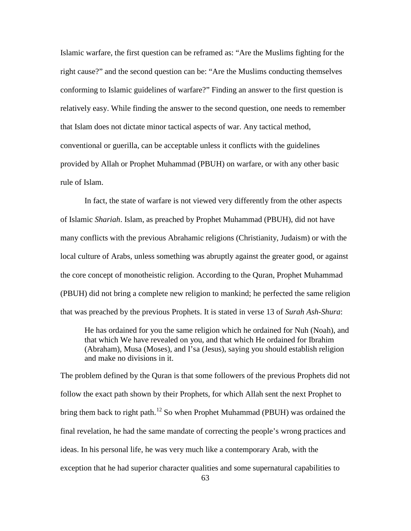Islamic warfare, the first question can be reframed as: "Are the Muslims fighting for the right cause?" and the second question can be: "Are the Muslims conducting themselves conforming to Islamic guidelines of warfare?" Finding an answer to the first question is relatively easy. While finding the answer to the second question, one needs to remember that Islam does not dictate minor tactical aspects of war. Any tactical method, conventional or guerilla, can be acceptable unless it conflicts with the guidelines provided by Allah or Prophet Muhammad (PBUH) on warfare, or with any other basic rule of Islam.

In fact, the state of warfare is not viewed very differently from the other aspects of Islamic *Shariah*. Islam, as preached by Prophet Muhammad (PBUH), did not have many conflicts with the previous Abrahamic religions (Christianity, Judaism) or with the local culture of Arabs, unless something was abruptly against the greater good, or against the core concept of monotheistic religion. According to the Quran, Prophet Muhammad (PBUH) did not bring a complete new religion to mankind; he perfected the same religion that was preached by the previous Prophets. It is stated in verse 13 of *Surah Ash-Shura*:

He has ordained for you the same religion which he ordained for Nuh (Noah), and that which We have revealed on you, and that which He ordained for Ibrahim (Abraham), Musa (Moses), and I'sa (Jesus), saying you should establish religion and make no divisions in it.

The problem defined by the Quran is that some followers of the previous Prophets did not follow the exact path shown by their Prophets, for which Allah sent the next Prophet to bring them back to right path.<sup>[12](#page-84-14)</sup> So when Prophet Muhammad (PBUH) was ordained the final revelation, he had the same mandate of correcting the people's wrong practices and ideas. In his personal life, he was very much like a contemporary Arab, with the exception that he had superior character qualities and some supernatural capabilities to

63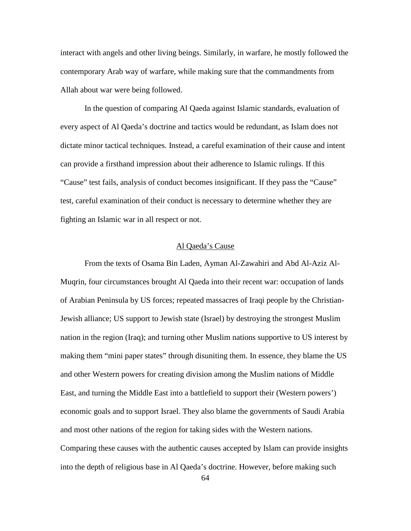interact with angels and other living beings. Similarly, in warfare, he mostly followed the contemporary Arab way of warfare, while making sure that the commandments from Allah about war were being followed.

In the question of comparing Al Qaeda against Islamic standards, evaluation of every aspect of Al Qaeda's doctrine and tactics would be redundant, as Islam does not dictate minor tactical techniques. Instead, a careful examination of their cause and intent can provide a firsthand impression about their adherence to Islamic rulings. If this "Cause" test fails, analysis of conduct becomes insignificant. If they pass the "Cause" test, careful examination of their conduct is necessary to determine whether they are fighting an Islamic war in all respect or not.

# Al Qaeda's Cause

From the texts of Osama Bin Laden, Ayman Al-Zawahiri and Abd Al-Aziz Al-Muqrin, four circumstances brought Al Qaeda into their recent war: occupation of lands of Arabian Peninsula by US forces; repeated massacres of Iraqi people by the Christian-Jewish alliance; US support to Jewish state (Israel) by destroying the strongest Muslim nation in the region (Iraq); and turning other Muslim nations supportive to US interest by making them "mini paper states" through disuniting them. In essence, they blame the US and other Western powers for creating division among the Muslim nations of Middle East, and turning the Middle East into a battlefield to support their (Western powers') economic goals and to support Israel. They also blame the governments of Saudi Arabia and most other nations of the region for taking sides with the Western nations. Comparing these causes with the authentic causes accepted by Islam can provide insights into the depth of religious base in Al Qaeda's doctrine. However, before making such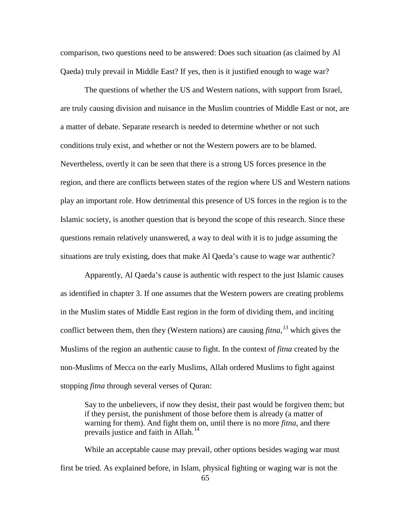comparison, two questions need to be answered: Does such situation (as claimed by Al Qaeda) truly prevail in Middle East? If yes, then is it justified enough to wage war?

The questions of whether the US and Western nations, with support from Israel, are truly causing division and nuisance in the Muslim countries of Middle East or not, are a matter of debate. Separate research is needed to determine whether or not such conditions truly exist, and whether or not the Western powers are to be blamed. Nevertheless, overtly it can be seen that there is a strong US forces presence in the region, and there are conflicts between states of the region where US and Western nations play an important role. How detrimental this presence of US forces in the region is to the Islamic society, is another question that is beyond the scope of this research. Since these questions remain relatively unanswered, a way to deal with it is to judge assuming the situations are truly existing, does that make Al Qaeda's cause to wage war authentic?

Apparently, Al Qaeda's cause is authentic with respect to the just Islamic causes as identified in chapter 3. If one assumes that the Western powers are creating problems in the Muslim states of Middle East region in the form of dividing them, and inciting conflict between them, then they (Western nations) are causing *fitna, [13](#page-84-0)* which gives the Muslims of the region an authentic cause to fight. In the context of *fitna* created by the non-Muslims of Mecca on the early Muslims, Allah ordered Muslims to fight against stopping *fitna* through several verses of Quran:

Say to the unbelievers, if now they desist, their past would be forgiven them; but if they persist, the punishment of those before them is already (a matter of warning for them). And fight them on, until there is no more *fitna*, and there prevails justice and faith in Allah.<sup>[14](#page-84-1)</sup>

While an acceptable cause may prevail, other options besides waging war must first be tried. As explained before, in Islam, physical fighting or waging war is not the

<sup>65</sup>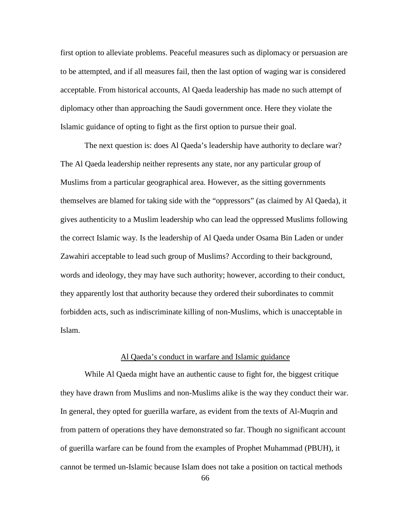first option to alleviate problems. Peaceful measures such as diplomacy or persuasion are to be attempted, and if all measures fail, then the last option of waging war is considered acceptable. From historical accounts, Al Qaeda leadership has made no such attempt of diplomacy other than approaching the Saudi government once. Here they violate the Islamic guidance of opting to fight as the first option to pursue their goal.

The next question is: does Al Qaeda's leadership have authority to declare war? The Al Qaeda leadership neither represents any state, nor any particular group of Muslims from a particular geographical area. However, as the sitting governments themselves are blamed for taking side with the "oppressors" (as claimed by Al Qaeda), it gives authenticity to a Muslim leadership who can lead the oppressed Muslims following the correct Islamic way. Is the leadership of Al Qaeda under Osama Bin Laden or under Zawahiri acceptable to lead such group of Muslims? According to their background, words and ideology, they may have such authority; however, according to their conduct, they apparently lost that authority because they ordered their subordinates to commit forbidden acts, such as indiscriminate killing of non-Muslims, which is unacceptable in Islam.

### Al Qaeda's conduct in warfare and Islamic guidance

While Al Qaeda might have an authentic cause to fight for, the biggest critique they have drawn from Muslims and non-Muslims alike is the way they conduct their war. In general, they opted for guerilla warfare, as evident from the texts of Al-Muqrin and from pattern of operations they have demonstrated so far. Though no significant account of guerilla warfare can be found from the examples of Prophet Muhammad (PBUH), it cannot be termed un-Islamic because Islam does not take a position on tactical methods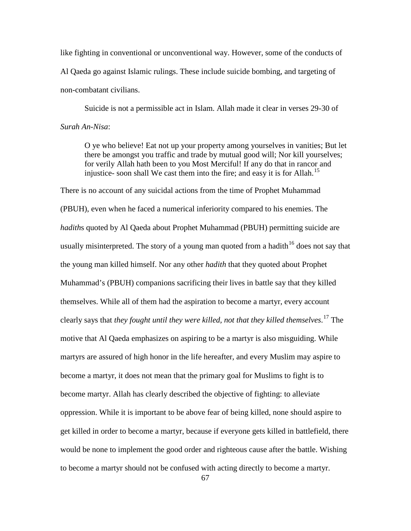like fighting in conventional or unconventional way. However, some of the conducts of Al Qaeda go against Islamic rulings. These include suicide bombing, and targeting of non-combatant civilians.

Suicide is not a permissible act in Islam. Allah made it clear in verses 29-30 of *Surah An-Nisa*:

O ye who believe! Eat not up your property among yourselves in vanities; But let there be amongst you traffic and trade by mutual good will; Nor kill yourselves; for verily Allah hath been to you Most Merciful! If any do that in rancor and injustice- soon shall We cast them into the fire; and easy it is for Allah.<sup>[15](#page-84-2)</sup>

There is no account of any suicidal actions from the time of Prophet Muhammad (PBUH), even when he faced a numerical inferiority compared to his enemies. The *hadith*s quoted by Al Qaeda about Prophet Muhammad (PBUH) permitting suicide are usually misinterpreted. The story of a young man quoted from a hadith  $16$  does not say that the young man killed himself. Nor any other *hadith* that they quoted about Prophet Muhammad's (PBUH) companions sacrificing their lives in battle say that they killed themselves. While all of them had the aspiration to become a martyr, every account clearly says that *they fought until they were killed, not that they killed themselves*. [17](#page-84-4) The motive that Al Qaeda emphasizes on aspiring to be a martyr is also misguiding. While martyrs are assured of high honor in the life hereafter, and every Muslim may aspire to become a martyr, it does not mean that the primary goal for Muslims to fight is to become martyr. Allah has clearly described the objective of fighting: to alleviate oppression. While it is important to be above fear of being killed, none should aspire to get killed in order to become a martyr, because if everyone gets killed in battlefield, there would be none to implement the good order and righteous cause after the battle. Wishing to become a martyr should not be confused with acting directly to become a martyr.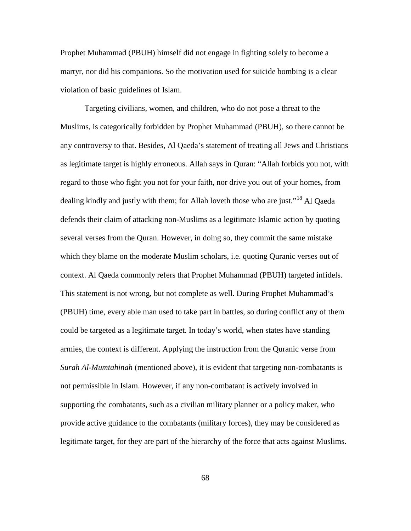Prophet Muhammad (PBUH) himself did not engage in fighting solely to become a martyr, nor did his companions. So the motivation used for suicide bombing is a clear violation of basic guidelines of Islam.

Targeting civilians, women, and children, who do not pose a threat to the Muslims, is categorically forbidden by Prophet Muhammad (PBUH), so there cannot be any controversy to that. Besides, Al Qaeda's statement of treating all Jews and Christians as legitimate target is highly erroneous. Allah says in Quran: "Allah forbids you not, with regard to those who fight you not for your faith, nor drive you out of your homes, from dealing kindly and justly with them; for Allah loveth those who are just."<sup>[18](#page-84-5)</sup> Al Qaeda defends their claim of attacking non-Muslims as a legitimate Islamic action by quoting several verses from the Quran. However, in doing so, they commit the same mistake which they blame on the moderate Muslim scholars, i.e. quoting Quranic verses out of context. Al Qaeda commonly refers that Prophet Muhammad (PBUH) targeted infidels. This statement is not wrong, but not complete as well. During Prophet Muhammad's (PBUH) time, every able man used to take part in battles, so during conflict any of them could be targeted as a legitimate target. In today's world, when states have standing armies, the context is different. Applying the instruction from the Quranic verse from *Surah Al-Mumtahinah* (mentioned above), it is evident that targeting non-combatants is not permissible in Islam. However, if any non-combatant is actively involved in supporting the combatants, such as a civilian military planner or a policy maker, who provide active guidance to the combatants (military forces), they may be considered as legitimate target, for they are part of the hierarchy of the force that acts against Muslims.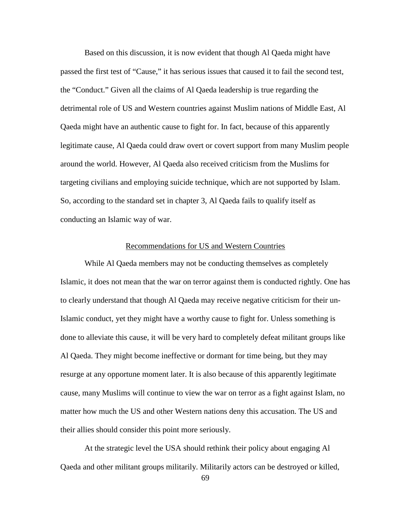Based on this discussion, it is now evident that though Al Qaeda might have passed the first test of "Cause," it has serious issues that caused it to fail the second test, the "Conduct." Given all the claims of Al Qaeda leadership is true regarding the detrimental role of US and Western countries against Muslim nations of Middle East, Al Qaeda might have an authentic cause to fight for. In fact, because of this apparently legitimate cause, Al Qaeda could draw overt or covert support from many Muslim people around the world. However, Al Qaeda also received criticism from the Muslims for targeting civilians and employing suicide technique, which are not supported by Islam. So, according to the standard set in chapter 3, Al Qaeda fails to qualify itself as conducting an Islamic way of war.

#### Recommendations for US and Western Countries

While Al Qaeda members may not be conducting themselves as completely Islamic, it does not mean that the war on terror against them is conducted rightly. One has to clearly understand that though Al Qaeda may receive negative criticism for their un-Islamic conduct, yet they might have a worthy cause to fight for. Unless something is done to alleviate this cause, it will be very hard to completely defeat militant groups like Al Qaeda. They might become ineffective or dormant for time being, but they may resurge at any opportune moment later. It is also because of this apparently legitimate cause, many Muslims will continue to view the war on terror as a fight against Islam, no matter how much the US and other Western nations deny this accusation. The US and their allies should consider this point more seriously.

At the strategic level the USA should rethink their policy about engaging Al Qaeda and other militant groups militarily. Militarily actors can be destroyed or killed,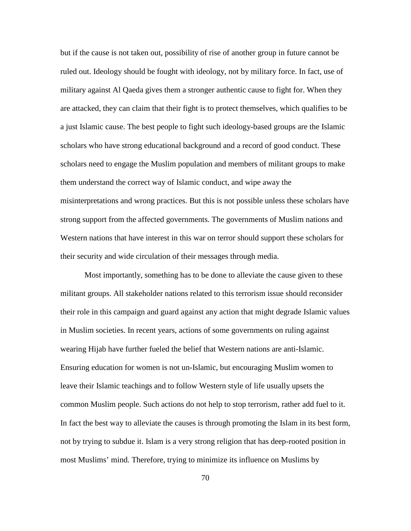but if the cause is not taken out, possibility of rise of another group in future cannot be ruled out. Ideology should be fought with ideology, not by military force. In fact, use of military against Al Qaeda gives them a stronger authentic cause to fight for. When they are attacked, they can claim that their fight is to protect themselves, which qualifies to be a just Islamic cause. The best people to fight such ideology-based groups are the Islamic scholars who have strong educational background and a record of good conduct. These scholars need to engage the Muslim population and members of militant groups to make them understand the correct way of Islamic conduct, and wipe away the misinterpretations and wrong practices. But this is not possible unless these scholars have strong support from the affected governments. The governments of Muslim nations and Western nations that have interest in this war on terror should support these scholars for their security and wide circulation of their messages through media.

Most importantly, something has to be done to alleviate the cause given to these militant groups. All stakeholder nations related to this terrorism issue should reconsider their role in this campaign and guard against any action that might degrade Islamic values in Muslim societies. In recent years, actions of some governments on ruling against wearing Hijab have further fueled the belief that Western nations are anti-Islamic. Ensuring education for women is not un-Islamic, but encouraging Muslim women to leave their Islamic teachings and to follow Western style of life usually upsets the common Muslim people. Such actions do not help to stop terrorism, rather add fuel to it. In fact the best way to alleviate the causes is through promoting the Islam in its best form, not by trying to subdue it. Islam is a very strong religion that has deep-rooted position in most Muslims' mind. Therefore, trying to minimize its influence on Muslims by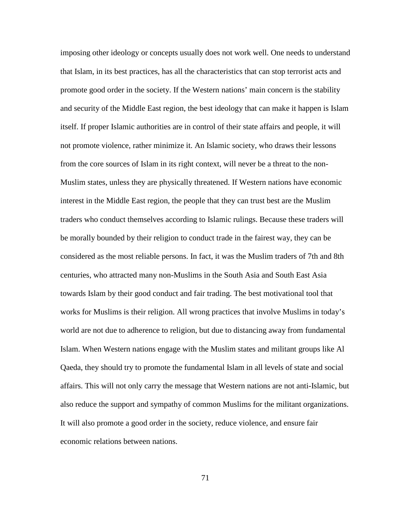imposing other ideology or concepts usually does not work well. One needs to understand that Islam, in its best practices, has all the characteristics that can stop terrorist acts and promote good order in the society. If the Western nations' main concern is the stability and security of the Middle East region, the best ideology that can make it happen is Islam itself. If proper Islamic authorities are in control of their state affairs and people, it will not promote violence, rather minimize it. An Islamic society, who draws their lessons from the core sources of Islam in its right context, will never be a threat to the non-Muslim states, unless they are physically threatened. If Western nations have economic interest in the Middle East region, the people that they can trust best are the Muslim traders who conduct themselves according to Islamic rulings. Because these traders will be morally bounded by their religion to conduct trade in the fairest way, they can be considered as the most reliable persons. In fact, it was the Muslim traders of 7th and 8th centuries, who attracted many non-Muslims in the South Asia and South East Asia towards Islam by their good conduct and fair trading. The best motivational tool that works for Muslims is their religion. All wrong practices that involve Muslims in today's world are not due to adherence to religion, but due to distancing away from fundamental Islam. When Western nations engage with the Muslim states and militant groups like Al Qaeda, they should try to promote the fundamental Islam in all levels of state and social affairs. This will not only carry the message that Western nations are not anti-Islamic, but also reduce the support and sympathy of common Muslims for the militant organizations. It will also promote a good order in the society, reduce violence, and ensure fair economic relations between nations.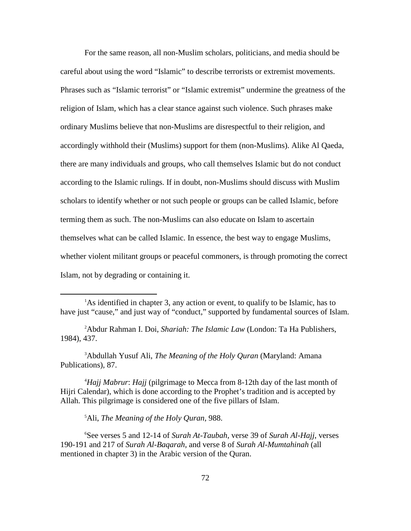For the same reason, all non-Muslim scholars, politicians, and media should be careful about using the word "Islamic" to describe terrorists or extremist movements. Phrases such as "Islamic terrorist" or "Islamic extremist" undermine the greatness of the religion of Islam, which has a clear stance against such violence. Such phrases make ordinary Muslims believe that non-Muslims are disrespectful to their religion, and accordingly withhold their (Muslims) support for them (non-Muslims). Alike Al Qaeda, there are many individuals and groups, who call themselves Islamic but do not conduct according to the Islamic rulings. If in doubt, non-Muslims should discuss with Muslim scholars to identify whether or not such people or groups can be called Islamic, before terming them as such. The non-Muslims can also educate on Islam to ascertain themselves what can be called Islamic. In essence, the best way to engage Muslims, whether violent militant groups or peaceful commoners, is through promoting the correct Islam, not by degrading or containing it.

2 Abdur Rahman I. Doi, *Shariah: The Islamic Law* (London: Ta Ha Publishers, 1984), 437.

3 Abdullah Yusuf Ali, *The Meaning of the Holy Quran* (Maryland: Amana Publications), 87.

4 *Hajj Mabrur*: *Hajj* (pilgrimage to Mecca from 8-12th day of the last month of Hijri Calendar), which is done according to the Prophet's tradition and is accepted by Allah. This pilgrimage is considered one of the five pillars of Islam.

5 Ali, *The Meaning of the Holy Quran*, 988.

6 See verses 5 and 12-14 of *Surah At-Taubah*, verse 39 of *Surah Al-Hajj*, verses 190-191 and 217 of *Surah Al-Baqarah*, and verse 8 of *Surah Al-Mumtahinah* (all mentioned in chapter 3) in the Arabic version of the Quran.

<sup>1</sup> <sup>1</sup>As identified in chapter 3, any action or event, to qualify to be Islamic, has to have just "cause," and just way of "conduct," supported by fundamental sources of Islam.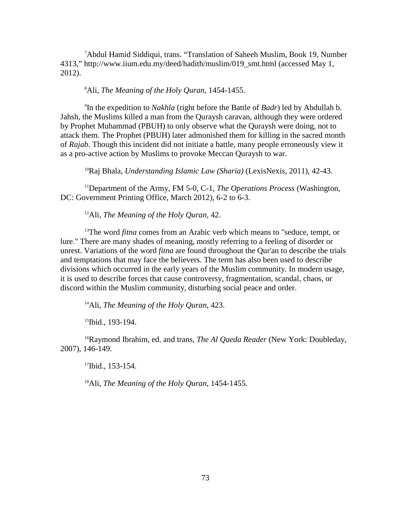<sup>7</sup>Abdul Hamid Siddiqui, trans. "Translation of Saheeh Muslim, Book 19, Number 4313," http://www.iium.edu.my/deed/hadith/muslim/019\_smt.html (accessed May 1, 2012).

# 8 Ali, *The Meaning of the Holy Quran*, 1454-1455.

9 In the expedition to *Nakhla* (right before the Battle of *Badr*) led by Abdullah b. Jahsh, the Muslims killed a man from the Quraysh caravan, although they were ordered by Prophet Muhammad (PBUH) to only observe what the Quraysh were doing, not to attack them. The Prophet (PBUH) later admonished them for killing in the sacred month of *Rajab*. Though this incident did not initiate a battle, many people erroneously view it as a pro-active action by Muslims to provoke Meccan Quraysh to war.

10Raj Bhala, *Understanding Islamic Law (Sharia)* (LexisNexis, 2011), 42-43.

11Department of the Army, FM 5-0, C-1, *The Operations Process* (Washington, DC: Government Printing Office, March 2012), 6-2 to 6-3.

12Ali, *The Meaning of the Holy Quran,* 42.

<sup>13</sup>The word *fitna* comes from an Arabic verb which means to "seduce, tempt, or lure." There are many shades of meaning, mostly referring to a feeling of disorder or unrest. Variations of the word *fitna* are found throughout the Qur'an to describe the trials and temptations that may face the believers. The term has also been used to describe divisions which occurred in the early years of the Muslim community. In modern usage, it is used to describe forces that cause controversy, fragmentation, scandal, chaos, or discord within the Muslim community, disturbing social peace and order.

14Ali, *The Meaning of the Holy Quran*, 423.

<sup>15</sup>Ibid., 193-194.

16Raymond Ibrahim, ed. and trans, *The Al Qaeda Reader* (New York: Doubleday, 2007), 146-149.

<sup>17</sup>Ibid., 153-154.

18Ali, *The Meaning of the Holy Quran*, 1454-1455.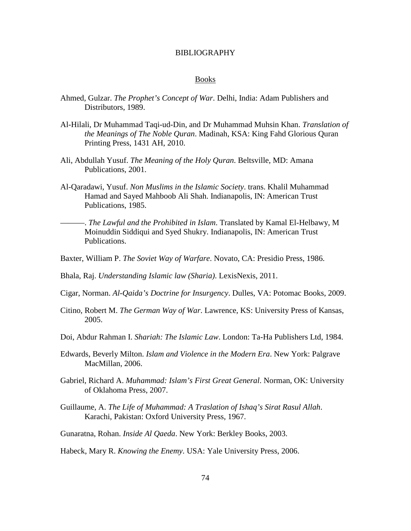### BIBLIOGRAPHY

#### Books

- Ahmed, Gulzar. *The Prophet's Concept of War*. Delhi, India: Adam Publishers and Distributors, 1989.
- Al-Hilali, Dr Muhammad Taqi-ud-Din, and Dr Muhammad Muhsin Khan. *Translation of the Meanings of The Noble Quran*. Madinah, KSA: King Fahd Glorious Quran Printing Press, 1431 AH, 2010.
- Ali, Abdullah Yusuf. *The Meaning of the Holy Quran*. Beltsville, MD: Amana Publications, 2001.
- Al-Qaradawi, Yusuf. *Non Muslims in the Islamic Society*. trans. Khalil Muhammad Hamad and Sayed Mahboob Ali Shah. Indianapolis, IN: American Trust Publications, 1985.
	- ———. *The Lawful and the Prohibited in Islam*. Translated by Kamal El-Helbawy, M Moinuddin Siddiqui and Syed Shukry. Indianapolis, IN: American Trust Publications.
- Baxter, William P. *The Soviet Way of Warfare*. Novato, CA: Presidio Press, 1986.
- Bhala, Raj. *Understanding Islamic law (Sharia)*. LexisNexis, 2011.
- Cigar, Norman. *Al-Qaida's Doctrine for Insurgency*. Dulles, VA: Potomac Books, 2009.
- Citino, Robert M. *The German Way of War*. Lawrence, KS: University Press of Kansas, 2005.
- Doi, Abdur Rahman I. *Shariah: The Islamic Law*. London: Ta-Ha Publishers Ltd, 1984.
- Edwards, Beverly Milton. *Islam and Violence in the Modern Era*. New York: Palgrave MacMillan, 2006.
- Gabriel, Richard A. *Muhammad: Islam's First Great General*. Norman, OK: University of Oklahoma Press, 2007.
- Guillaume, A. *The Life of Muhammad: A Traslation of Ishaq's Sirat Rasul Allah*. Karachi, Pakistan: Oxford University Press, 1967.
- Gunaratna, Rohan. *Inside Al Qaeda*. New York: Berkley Books, 2003.
- Habeck, Mary R. *Knowing the Enemy*. USA: Yale University Press, 2006.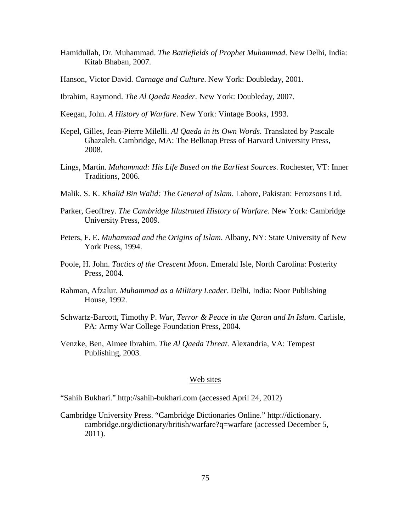- Hamidullah, Dr. Muhammad. *The Battlefields of Prophet Muhammad*. New Delhi, India: Kitab Bhaban, 2007.
- Hanson, Victor David. *Carnage and Culture*. New York: Doubleday, 2001.
- Ibrahim, Raymond. *The Al Qaeda Reader*. New York: Doubleday, 2007.
- Keegan, John. *A History of Warfare*. New York: Vintage Books, 1993.
- Kepel, Gilles, Jean-Pierre Milelli. *Al Qaeda in its Own Words*. Translated by Pascale Ghazaleh. Cambridge, MA: The Belknap Press of Harvard University Press, 2008.
- Lings, Martin. *Muhammad: His Life Based on the Earliest Sources*. Rochester, VT: Inner Traditions, 2006.
- Malik. S. K. *Khalid Bin Walid: The General of Islam*. Lahore, Pakistan: Ferozsons Ltd.
- Parker, Geoffrey. *The Cambridge Illustrated History of Warfare*. New York: Cambridge University Press, 2009.
- Peters, F. E. *Muhammad and the Origins of Islam*. Albany, NY: State University of New York Press, 1994.
- Poole, H. John. *Tactics of the Crescent Moon*. Emerald Isle, North Carolina: Posterity Press, 2004.
- Rahman, Afzalur. *Muhammad as a Military Leader*. Delhi, India: Noor Publishing House, 1992.
- Schwartz-Barcott, Timothy P. *War, Terror & Peace in the Quran and In Islam*. Carlisle, PA: Army War College Foundation Press, 2004.
- Venzke, Ben, Aimee Ibrahim. *The Al Qaeda Threat*. Alexandria, VA: Tempest Publishing, 2003.

## Web sites

"Sahih Bukhari." http://sahih-bukhari.com (accessed April 24, 2012)

Cambridge University Press. "Cambridge Dictionaries Online." http://dictionary. cambridge.org/dictionary/british/warfare?q=warfare (accessed December 5, 2011).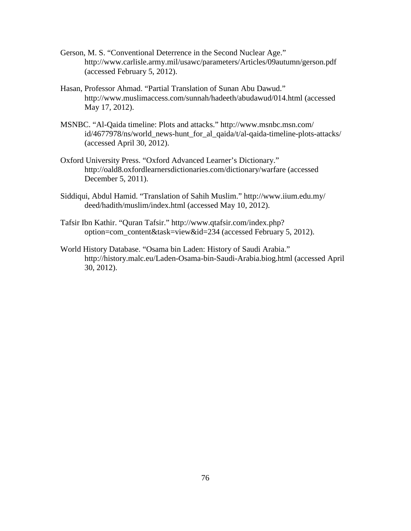- Gerson, M. S. "Conventional Deterrence in the Second Nuclear Age." http://www.carlisle.army.mil/usawc/parameters/Articles/09autumn/gerson.pdf (accessed February 5, 2012).
- Hasan, Professor Ahmad. "Partial Translation of Sunan Abu Dawud." http://www.muslimaccess.com/sunnah/hadeeth/abudawud/014.html (accessed May 17, 2012).
- MSNBC. "Al-Qaida timeline: Plots and attacks." http://www.msnbc.msn.com/ id/4677978/ns/world\_news-hunt\_for\_al\_qaida/t/al-qaida-timeline-plots-attacks/ (accessed April 30, 2012).
- Oxford University Press. "Oxford Advanced Learner's Dictionary." http://oald8.oxfordlearnersdictionaries.com/dictionary/warfare (accessed December 5, 2011).
- Siddiqui, Abdul Hamid. "Translation of Sahih Muslim." http://www.iium.edu.my/ deed/hadith/muslim/index.html (accessed May 10, 2012).
- Tafsir Ibn Kathir. "Quran Tafsir." http://www.qtafsir.com/index.php? option=com\_content&task=view&id=234 (accessed February 5, 2012).
- World History Database. "Osama bin Laden: History of Saudi Arabia." http://history.malc.eu/Laden-Osama-bin-Saudi-Arabia.biog.html (accessed April 30, 2012).